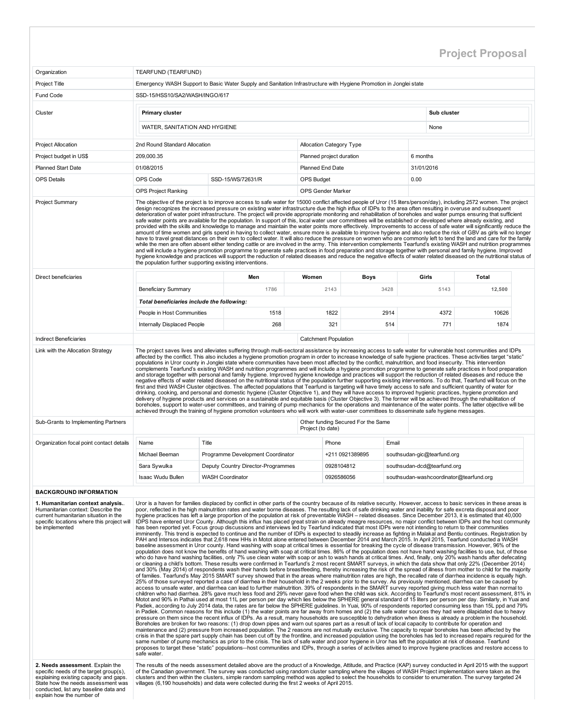## Project Proposal

| Organization                                                                                                                                                                                                                     | TEARFUND (TEARFUND)                                                                                                                                                                                                                                                                                                                                                                                                                                                                                                                                                                                                                                                                                                                                                                                                                                                                                                                                                                                                                                                                                                                                                                                                                                                                                                                                                                                                                                                                                                                                                                                                                                                                                                                                                                                                                                                                                                                                                                                                                                                                                                                                                                                                                                                                                                                                                                                                                                                                                                                                                                                                                                                                                                                                                                                                                                                                                                                                                                                                                                                                                                                                                                                                                                                                                                                                                                                                                                                                                                                                                                                                                                                                                                                                                                                                                                                                                                                                                                                                                                                                                                                                                                                                                                                                                                                                                                                           |                                                                                                                                                                                                                                                                                                                                                                                                                                                                                                                                                                                                                                                                                                                                                                                                                                                                                                                                                                                                                                                                                                                                                                                                                                                                                                                                                                                                                                                                                                                                                                                                                                                                           |                             |                                    |       |                             |              |  |  |  |  |  |
|----------------------------------------------------------------------------------------------------------------------------------------------------------------------------------------------------------------------------------|---------------------------------------------------------------------------------------------------------------------------------------------------------------------------------------------------------------------------------------------------------------------------------------------------------------------------------------------------------------------------------------------------------------------------------------------------------------------------------------------------------------------------------------------------------------------------------------------------------------------------------------------------------------------------------------------------------------------------------------------------------------------------------------------------------------------------------------------------------------------------------------------------------------------------------------------------------------------------------------------------------------------------------------------------------------------------------------------------------------------------------------------------------------------------------------------------------------------------------------------------------------------------------------------------------------------------------------------------------------------------------------------------------------------------------------------------------------------------------------------------------------------------------------------------------------------------------------------------------------------------------------------------------------------------------------------------------------------------------------------------------------------------------------------------------------------------------------------------------------------------------------------------------------------------------------------------------------------------------------------------------------------------------------------------------------------------------------------------------------------------------------------------------------------------------------------------------------------------------------------------------------------------------------------------------------------------------------------------------------------------------------------------------------------------------------------------------------------------------------------------------------------------------------------------------------------------------------------------------------------------------------------------------------------------------------------------------------------------------------------------------------------------------------------------------------------------------------------------------------------------------------------------------------------------------------------------------------------------------------------------------------------------------------------------------------------------------------------------------------------------------------------------------------------------------------------------------------------------------------------------------------------------------------------------------------------------------------------------------------------------------------------------------------------------------------------------------------------------------------------------------------------------------------------------------------------------------------------------------------------------------------------------------------------------------------------------------------------------------------------------------------------------------------------------------------------------------------------------------------------------------------------------------------------------------------------------------------------------------------------------------------------------------------------------------------------------------------------------------------------------------------------------------------------------------------------------------------------------------------------------------------------------------------------------------------------------------------------------------------------------------------------------------------|---------------------------------------------------------------------------------------------------------------------------------------------------------------------------------------------------------------------------------------------------------------------------------------------------------------------------------------------------------------------------------------------------------------------------------------------------------------------------------------------------------------------------------------------------------------------------------------------------------------------------------------------------------------------------------------------------------------------------------------------------------------------------------------------------------------------------------------------------------------------------------------------------------------------------------------------------------------------------------------------------------------------------------------------------------------------------------------------------------------------------------------------------------------------------------------------------------------------------------------------------------------------------------------------------------------------------------------------------------------------------------------------------------------------------------------------------------------------------------------------------------------------------------------------------------------------------------------------------------------------------------------------------------------------------|-----------------------------|------------------------------------|-------|-----------------------------|--------------|--|--|--|--|--|
| <b>Project Title</b>                                                                                                                                                                                                             |                                                                                                                                                                                                                                                                                                                                                                                                                                                                                                                                                                                                                                                                                                                                                                                                                                                                                                                                                                                                                                                                                                                                                                                                                                                                                                                                                                                                                                                                                                                                                                                                                                                                                                                                                                                                                                                                                                                                                                                                                                                                                                                                                                                                                                                                                                                                                                                                                                                                                                                                                                                                                                                                                                                                                                                                                                                                                                                                                                                                                                                                                                                                                                                                                                                                                                                                                                                                                                                                                                                                                                                                                                                                                                                                                                                                                                                                                                                                                                                                                                                                                                                                                                                                                                                                                                                                                                                                               | Emergency WASH Support to Basic Water Supply and Sanitation Infrastructure with Hygiene Promotion in Jonglei state                                                                                                                                                                                                                                                                                                                                                                                                                                                                                                                                                                                                                                                                                                                                                                                                                                                                                                                                                                                                                                                                                                                                                                                                                                                                                                                                                                                                                                                                                                                                                        |                             |                                    |       |                             |              |  |  |  |  |  |
| Fund Code                                                                                                                                                                                                                        | SSD-15/HSS10/SA2/WASH/INGO/617                                                                                                                                                                                                                                                                                                                                                                                                                                                                                                                                                                                                                                                                                                                                                                                                                                                                                                                                                                                                                                                                                                                                                                                                                                                                                                                                                                                                                                                                                                                                                                                                                                                                                                                                                                                                                                                                                                                                                                                                                                                                                                                                                                                                                                                                                                                                                                                                                                                                                                                                                                                                                                                                                                                                                                                                                                                                                                                                                                                                                                                                                                                                                                                                                                                                                                                                                                                                                                                                                                                                                                                                                                                                                                                                                                                                                                                                                                                                                                                                                                                                                                                                                                                                                                                                                                                                                                                |                                                                                                                                                                                                                                                                                                                                                                                                                                                                                                                                                                                                                                                                                                                                                                                                                                                                                                                                                                                                                                                                                                                                                                                                                                                                                                                                                                                                                                                                                                                                                                                                                                                                           |                             |                                    |       |                             |              |  |  |  |  |  |
| Cluster                                                                                                                                                                                                                          | <b>Primary cluster</b>                                                                                                                                                                                                                                                                                                                                                                                                                                                                                                                                                                                                                                                                                                                                                                                                                                                                                                                                                                                                                                                                                                                                                                                                                                                                                                                                                                                                                                                                                                                                                                                                                                                                                                                                                                                                                                                                                                                                                                                                                                                                                                                                                                                                                                                                                                                                                                                                                                                                                                                                                                                                                                                                                                                                                                                                                                                                                                                                                                                                                                                                                                                                                                                                                                                                                                                                                                                                                                                                                                                                                                                                                                                                                                                                                                                                                                                                                                                                                                                                                                                                                                                                                                                                                                                                                                                                                                                        |                                                                                                                                                                                                                                                                                                                                                                                                                                                                                                                                                                                                                                                                                                                                                                                                                                                                                                                                                                                                                                                                                                                                                                                                                                                                                                                                                                                                                                                                                                                                                                                                                                                                           |                             |                                    |       | Sub cluster                 |              |  |  |  |  |  |
|                                                                                                                                                                                                                                  | WATER, SANITATION AND HYGIENE                                                                                                                                                                                                                                                                                                                                                                                                                                                                                                                                                                                                                                                                                                                                                                                                                                                                                                                                                                                                                                                                                                                                                                                                                                                                                                                                                                                                                                                                                                                                                                                                                                                                                                                                                                                                                                                                                                                                                                                                                                                                                                                                                                                                                                                                                                                                                                                                                                                                                                                                                                                                                                                                                                                                                                                                                                                                                                                                                                                                                                                                                                                                                                                                                                                                                                                                                                                                                                                                                                                                                                                                                                                                                                                                                                                                                                                                                                                                                                                                                                                                                                                                                                                                                                                                                                                                                                                 | None                                                                                                                                                                                                                                                                                                                                                                                                                                                                                                                                                                                                                                                                                                                                                                                                                                                                                                                                                                                                                                                                                                                                                                                                                                                                                                                                                                                                                                                                                                                                                                                                                                                                      |                             |                                    |       |                             |              |  |  |  |  |  |
| <b>Project Allocation</b>                                                                                                                                                                                                        | 2nd Round Standard Allocation                                                                                                                                                                                                                                                                                                                                                                                                                                                                                                                                                                                                                                                                                                                                                                                                                                                                                                                                                                                                                                                                                                                                                                                                                                                                                                                                                                                                                                                                                                                                                                                                                                                                                                                                                                                                                                                                                                                                                                                                                                                                                                                                                                                                                                                                                                                                                                                                                                                                                                                                                                                                                                                                                                                                                                                                                                                                                                                                                                                                                                                                                                                                                                                                                                                                                                                                                                                                                                                                                                                                                                                                                                                                                                                                                                                                                                                                                                                                                                                                                                                                                                                                                                                                                                                                                                                                                                                 |                                                                                                                                                                                                                                                                                                                                                                                                                                                                                                                                                                                                                                                                                                                                                                                                                                                                                                                                                                                                                                                                                                                                                                                                                                                                                                                                                                                                                                                                                                                                                                                                                                                                           |                             |                                    |       |                             |              |  |  |  |  |  |
| Project budget in US\$                                                                                                                                                                                                           | <b>Allocation Category Type</b><br>209.000.35<br>Planned project duration<br>6 months<br>01/08/2015<br><b>Planned End Date</b><br>31/01/2016                                                                                                                                                                                                                                                                                                                                                                                                                                                                                                                                                                                                                                                                                                                                                                                                                                                                                                                                                                                                                                                                                                                                                                                                                                                                                                                                                                                                                                                                                                                                                                                                                                                                                                                                                                                                                                                                                                                                                                                                                                                                                                                                                                                                                                                                                                                                                                                                                                                                                                                                                                                                                                                                                                                                                                                                                                                                                                                                                                                                                                                                                                                                                                                                                                                                                                                                                                                                                                                                                                                                                                                                                                                                                                                                                                                                                                                                                                                                                                                                                                                                                                                                                                                                                                                                  |                                                                                                                                                                                                                                                                                                                                                                                                                                                                                                                                                                                                                                                                                                                                                                                                                                                                                                                                                                                                                                                                                                                                                                                                                                                                                                                                                                                                                                                                                                                                                                                                                                                                           |                             |                                    |       |                             |              |  |  |  |  |  |
| <b>Planned Start Date</b>                                                                                                                                                                                                        |                                                                                                                                                                                                                                                                                                                                                                                                                                                                                                                                                                                                                                                                                                                                                                                                                                                                                                                                                                                                                                                                                                                                                                                                                                                                                                                                                                                                                                                                                                                                                                                                                                                                                                                                                                                                                                                                                                                                                                                                                                                                                                                                                                                                                                                                                                                                                                                                                                                                                                                                                                                                                                                                                                                                                                                                                                                                                                                                                                                                                                                                                                                                                                                                                                                                                                                                                                                                                                                                                                                                                                                                                                                                                                                                                                                                                                                                                                                                                                                                                                                                                                                                                                                                                                                                                                                                                                                                               | OPS Code<br>0.00<br>SSD-15/WS/72631/R<br><b>OPS Budget</b><br>OPS Project Ranking<br>OPS Gender Marker                                                                                                                                                                                                                                                                                                                                                                                                                                                                                                                                                                                                                                                                                                                                                                                                                                                                                                                                                                                                                                                                                                                                                                                                                                                                                                                                                                                                                                                                                                                                                                    |                             |                                    |       |                             |              |  |  |  |  |  |
| <b>OPS Details</b>                                                                                                                                                                                                               |                                                                                                                                                                                                                                                                                                                                                                                                                                                                                                                                                                                                                                                                                                                                                                                                                                                                                                                                                                                                                                                                                                                                                                                                                                                                                                                                                                                                                                                                                                                                                                                                                                                                                                                                                                                                                                                                                                                                                                                                                                                                                                                                                                                                                                                                                                                                                                                                                                                                                                                                                                                                                                                                                                                                                                                                                                                                                                                                                                                                                                                                                                                                                                                                                                                                                                                                                                                                                                                                                                                                                                                                                                                                                                                                                                                                                                                                                                                                                                                                                                                                                                                                                                                                                                                                                                                                                                                                               |                                                                                                                                                                                                                                                                                                                                                                                                                                                                                                                                                                                                                                                                                                                                                                                                                                                                                                                                                                                                                                                                                                                                                                                                                                                                                                                                                                                                                                                                                                                                                                                                                                                                           |                             |                                    |       |                             |              |  |  |  |  |  |
|                                                                                                                                                                                                                                  |                                                                                                                                                                                                                                                                                                                                                                                                                                                                                                                                                                                                                                                                                                                                                                                                                                                                                                                                                                                                                                                                                                                                                                                                                                                                                                                                                                                                                                                                                                                                                                                                                                                                                                                                                                                                                                                                                                                                                                                                                                                                                                                                                                                                                                                                                                                                                                                                                                                                                                                                                                                                                                                                                                                                                                                                                                                                                                                                                                                                                                                                                                                                                                                                                                                                                                                                                                                                                                                                                                                                                                                                                                                                                                                                                                                                                                                                                                                                                                                                                                                                                                                                                                                                                                                                                                                                                                                                               |                                                                                                                                                                                                                                                                                                                                                                                                                                                                                                                                                                                                                                                                                                                                                                                                                                                                                                                                                                                                                                                                                                                                                                                                                                                                                                                                                                                                                                                                                                                                                                                                                                                                           |                             |                                    |       |                             |              |  |  |  |  |  |
| <b>Project Summary</b>                                                                                                                                                                                                           | The objective of the project is to improve access to safe water for 15000 conflict affected people of Uror (15 liters/person/day), including 2572 women. The project<br>design recognizes the increased pressure on existing water infrastructure due the high influx of IDPs to the area often resulting in overuse and subsequent<br>deterioration of water point infrastructure. The project will provide appropriate monitoring and rehabilitation of boreholes and water pumps ensuring that sufficient<br>safe water points are available for the population. In support of this, local water user committees will be established or developed where already existing, and<br>provided with the skills and knowledge to manage and maintain the water points more effectively. Improvements to access of safe water will significantly reduce the                                                                                                                                                                                                                                                                                                                                                                                                                                                                                                                                                                                                                                                                                                                                                                                                                                                                                                                                                                                                                                                                                                                                                                                                                                                                                                                                                                                                                                                                                                                                                                                                                                                                                                                                                                                                                                                                                                                                                                                                                                                                                                                                                                                                                                                                                                                                                                                                                                                                                                                                                                                                                                                                                                                                                                                                                                                                                                                                                                                                                                                                                                                                                                                                                                                                                                                                                                                                                                                                                                                                                       |                                                                                                                                                                                                                                                                                                                                                                                                                                                                                                                                                                                                                                                                                                                                                                                                                                                                                                                                                                                                                                                                                                                                                                                                                                                                                                                                                                                                                                                                                                                                                                                                                                                                           |                             |                                    |       |                             |              |  |  |  |  |  |
|                                                                                                                                                                                                                                  | the population further supporting existing interventions.                                                                                                                                                                                                                                                                                                                                                                                                                                                                                                                                                                                                                                                                                                                                                                                                                                                                                                                                                                                                                                                                                                                                                                                                                                                                                                                                                                                                                                                                                                                                                                                                                                                                                                                                                                                                                                                                                                                                                                                                                                                                                                                                                                                                                                                                                                                                                                                                                                                                                                                                                                                                                                                                                                                                                                                                                                                                                                                                                                                                                                                                                                                                                                                                                                                                                                                                                                                                                                                                                                                                                                                                                                                                                                                                                                                                                                                                                                                                                                                                                                                                                                                                                                                                                                                                                                                                                     | amount of time women and girls spend in having to collect water, ensure more is available to improve hygiene and also reduce the risk of GBV as girls will no longer<br>have to travel great distances on their own to collect water. It will also reduce the pressure on women who are commonly left to tend the land and care for the family<br>while the men are often absent either tending cattle or are involved in the army. This intervention complements Tearfund's existing WASH and nutrition programmes<br>and will include a hygiene promotion programme to generate safe practices in food preparation and storage together with personal and family hygiene. Improved<br>hygiene knowledge and practices will support the reduction of related diseases and reduce the negative effects of water related diseased on the nutritional status of                                                                                                                                                                                                                                                                                                                                                                                                                                                                                                                                                                                                                                                                                                                                                                                                             |                             |                                    |       |                             |              |  |  |  |  |  |
| Direct beneficiaries                                                                                                                                                                                                             |                                                                                                                                                                                                                                                                                                                                                                                                                                                                                                                                                                                                                                                                                                                                                                                                                                                                                                                                                                                                                                                                                                                                                                                                                                                                                                                                                                                                                                                                                                                                                                                                                                                                                                                                                                                                                                                                                                                                                                                                                                                                                                                                                                                                                                                                                                                                                                                                                                                                                                                                                                                                                                                                                                                                                                                                                                                                                                                                                                                                                                                                                                                                                                                                                                                                                                                                                                                                                                                                                                                                                                                                                                                                                                                                                                                                                                                                                                                                                                                                                                                                                                                                                                                                                                                                                                                                                                                                               | Men                                                                                                                                                                                                                                                                                                                                                                                                                                                                                                                                                                                                                                                                                                                                                                                                                                                                                                                                                                                                                                                                                                                                                                                                                                                                                                                                                                                                                                                                                                                                                                                                                                                                       | Women                       | <b>Boys</b>                        |       | Girls                       | <b>Total</b> |  |  |  |  |  |
|                                                                                                                                                                                                                                  | <b>Beneficiary Summary</b>                                                                                                                                                                                                                                                                                                                                                                                                                                                                                                                                                                                                                                                                                                                                                                                                                                                                                                                                                                                                                                                                                                                                                                                                                                                                                                                                                                                                                                                                                                                                                                                                                                                                                                                                                                                                                                                                                                                                                                                                                                                                                                                                                                                                                                                                                                                                                                                                                                                                                                                                                                                                                                                                                                                                                                                                                                                                                                                                                                                                                                                                                                                                                                                                                                                                                                                                                                                                                                                                                                                                                                                                                                                                                                                                                                                                                                                                                                                                                                                                                                                                                                                                                                                                                                                                                                                                                                                    | 1786                                                                                                                                                                                                                                                                                                                                                                                                                                                                                                                                                                                                                                                                                                                                                                                                                                                                                                                                                                                                                                                                                                                                                                                                                                                                                                                                                                                                                                                                                                                                                                                                                                                                      |                             | 2143                               | 3428  | 5143                        | 12,500       |  |  |  |  |  |
|                                                                                                                                                                                                                                  | Total beneficiaries include the following:                                                                                                                                                                                                                                                                                                                                                                                                                                                                                                                                                                                                                                                                                                                                                                                                                                                                                                                                                                                                                                                                                                                                                                                                                                                                                                                                                                                                                                                                                                                                                                                                                                                                                                                                                                                                                                                                                                                                                                                                                                                                                                                                                                                                                                                                                                                                                                                                                                                                                                                                                                                                                                                                                                                                                                                                                                                                                                                                                                                                                                                                                                                                                                                                                                                                                                                                                                                                                                                                                                                                                                                                                                                                                                                                                                                                                                                                                                                                                                                                                                                                                                                                                                                                                                                                                                                                                                    |                                                                                                                                                                                                                                                                                                                                                                                                                                                                                                                                                                                                                                                                                                                                                                                                                                                                                                                                                                                                                                                                                                                                                                                                                                                                                                                                                                                                                                                                                                                                                                                                                                                                           |                             |                                    |       |                             |              |  |  |  |  |  |
|                                                                                                                                                                                                                                  | People in Host Communities                                                                                                                                                                                                                                                                                                                                                                                                                                                                                                                                                                                                                                                                                                                                                                                                                                                                                                                                                                                                                                                                                                                                                                                                                                                                                                                                                                                                                                                                                                                                                                                                                                                                                                                                                                                                                                                                                                                                                                                                                                                                                                                                                                                                                                                                                                                                                                                                                                                                                                                                                                                                                                                                                                                                                                                                                                                                                                                                                                                                                                                                                                                                                                                                                                                                                                                                                                                                                                                                                                                                                                                                                                                                                                                                                                                                                                                                                                                                                                                                                                                                                                                                                                                                                                                                                                                                                                                    | 1518                                                                                                                                                                                                                                                                                                                                                                                                                                                                                                                                                                                                                                                                                                                                                                                                                                                                                                                                                                                                                                                                                                                                                                                                                                                                                                                                                                                                                                                                                                                                                                                                                                                                      |                             | 1822                               | 2914  | 4372                        | 10626        |  |  |  |  |  |
|                                                                                                                                                                                                                                  | Internally Displaced People                                                                                                                                                                                                                                                                                                                                                                                                                                                                                                                                                                                                                                                                                                                                                                                                                                                                                                                                                                                                                                                                                                                                                                                                                                                                                                                                                                                                                                                                                                                                                                                                                                                                                                                                                                                                                                                                                                                                                                                                                                                                                                                                                                                                                                                                                                                                                                                                                                                                                                                                                                                                                                                                                                                                                                                                                                                                                                                                                                                                                                                                                                                                                                                                                                                                                                                                                                                                                                                                                                                                                                                                                                                                                                                                                                                                                                                                                                                                                                                                                                                                                                                                                                                                                                                                                                                                                                                   | 268                                                                                                                                                                                                                                                                                                                                                                                                                                                                                                                                                                                                                                                                                                                                                                                                                                                                                                                                                                                                                                                                                                                                                                                                                                                                                                                                                                                                                                                                                                                                                                                                                                                                       |                             | 321                                | 514   | 771                         | 1874         |  |  |  |  |  |
| <b>Indirect Beneficiaries</b>                                                                                                                                                                                                    |                                                                                                                                                                                                                                                                                                                                                                                                                                                                                                                                                                                                                                                                                                                                                                                                                                                                                                                                                                                                                                                                                                                                                                                                                                                                                                                                                                                                                                                                                                                                                                                                                                                                                                                                                                                                                                                                                                                                                                                                                                                                                                                                                                                                                                                                                                                                                                                                                                                                                                                                                                                                                                                                                                                                                                                                                                                                                                                                                                                                                                                                                                                                                                                                                                                                                                                                                                                                                                                                                                                                                                                                                                                                                                                                                                                                                                                                                                                                                                                                                                                                                                                                                                                                                                                                                                                                                                                                               |                                                                                                                                                                                                                                                                                                                                                                                                                                                                                                                                                                                                                                                                                                                                                                                                                                                                                                                                                                                                                                                                                                                                                                                                                                                                                                                                                                                                                                                                                                                                                                                                                                                                           | <b>Catchment Population</b> |                                    |       |                             |              |  |  |  |  |  |
|                                                                                                                                                                                                                                  |                                                                                                                                                                                                                                                                                                                                                                                                                                                                                                                                                                                                                                                                                                                                                                                                                                                                                                                                                                                                                                                                                                                                                                                                                                                                                                                                                                                                                                                                                                                                                                                                                                                                                                                                                                                                                                                                                                                                                                                                                                                                                                                                                                                                                                                                                                                                                                                                                                                                                                                                                                                                                                                                                                                                                                                                                                                                                                                                                                                                                                                                                                                                                                                                                                                                                                                                                                                                                                                                                                                                                                                                                                                                                                                                                                                                                                                                                                                                                                                                                                                                                                                                                                                                                                                                                                                                                                                                               | affected by the conflict. This also includes a hygiene promotion program in order to increase knowledge of safe hygiene practices. These activities target "static"<br>populations in Uror county in Jonglei state where communities have been most affected by the conflict, malnutrition, and food insecurity. This intervention<br>complements Tearfund's existing WASH and nutrition programmes and will include a hygiene promotion programme to generate safe practices in food preparation<br>and storage together with personal and family hygiene. Improved hygiene knowledge and practices will support the reduction of related diseases and reduce the<br>negative effects of water related diseased on the nutritional status of the population further supporting existing interventions. To do that, Tearfund will focus on the<br>first and third WASH Cluster objectives. The affected populations that Tearfund is targeting will have timely access to safe and sufficient quantity of water for<br>drinking, cooking, and personal and domestic hygiene (Cluster Objective 1), and they will have access to improved hygienic practices, hygiene promotion and<br>delivery of hygiene products and services on a sustainable and equitable basis (Cluster Objective 3). The former will be achieved through the rehabilitation of<br>boreholes, support to water-user committees, and training of pump mechanics for the operations and maintenance of the water points. The latter objective will be<br>achieved through the training of hygiene promotion volunteers who will work with water-user committees to disseminate safe hygiene messages. |                             |                                    |       |                             |              |  |  |  |  |  |
| Sub-Grants to Implementing Partners                                                                                                                                                                                              |                                                                                                                                                                                                                                                                                                                                                                                                                                                                                                                                                                                                                                                                                                                                                                                                                                                                                                                                                                                                                                                                                                                                                                                                                                                                                                                                                                                                                                                                                                                                                                                                                                                                                                                                                                                                                                                                                                                                                                                                                                                                                                                                                                                                                                                                                                                                                                                                                                                                                                                                                                                                                                                                                                                                                                                                                                                                                                                                                                                                                                                                                                                                                                                                                                                                                                                                                                                                                                                                                                                                                                                                                                                                                                                                                                                                                                                                                                                                                                                                                                                                                                                                                                                                                                                                                                                                                                                                               |                                                                                                                                                                                                                                                                                                                                                                                                                                                                                                                                                                                                                                                                                                                                                                                                                                                                                                                                                                                                                                                                                                                                                                                                                                                                                                                                                                                                                                                                                                                                                                                                                                                                           | Project (to date)           | Other funding Secured For the Same |       |                             |              |  |  |  |  |  |
| Organization focal point contact details                                                                                                                                                                                         | Name                                                                                                                                                                                                                                                                                                                                                                                                                                                                                                                                                                                                                                                                                                                                                                                                                                                                                                                                                                                                                                                                                                                                                                                                                                                                                                                                                                                                                                                                                                                                                                                                                                                                                                                                                                                                                                                                                                                                                                                                                                                                                                                                                                                                                                                                                                                                                                                                                                                                                                                                                                                                                                                                                                                                                                                                                                                                                                                                                                                                                                                                                                                                                                                                                                                                                                                                                                                                                                                                                                                                                                                                                                                                                                                                                                                                                                                                                                                                                                                                                                                                                                                                                                                                                                                                                                                                                                                                          | Title                                                                                                                                                                                                                                                                                                                                                                                                                                                                                                                                                                                                                                                                                                                                                                                                                                                                                                                                                                                                                                                                                                                                                                                                                                                                                                                                                                                                                                                                                                                                                                                                                                                                     |                             | Phone                              | Email |                             |              |  |  |  |  |  |
|                                                                                                                                                                                                                                  | Michael Beeman                                                                                                                                                                                                                                                                                                                                                                                                                                                                                                                                                                                                                                                                                                                                                                                                                                                                                                                                                                                                                                                                                                                                                                                                                                                                                                                                                                                                                                                                                                                                                                                                                                                                                                                                                                                                                                                                                                                                                                                                                                                                                                                                                                                                                                                                                                                                                                                                                                                                                                                                                                                                                                                                                                                                                                                                                                                                                                                                                                                                                                                                                                                                                                                                                                                                                                                                                                                                                                                                                                                                                                                                                                                                                                                                                                                                                                                                                                                                                                                                                                                                                                                                                                                                                                                                                                                                                                                                | Programme Development Coordinator                                                                                                                                                                                                                                                                                                                                                                                                                                                                                                                                                                                                                                                                                                                                                                                                                                                                                                                                                                                                                                                                                                                                                                                                                                                                                                                                                                                                                                                                                                                                                                                                                                         |                             | +211 0921389895                    |       | southsudan-gic@tearfund.org |              |  |  |  |  |  |
|                                                                                                                                                                                                                                  | Sara Sywulka                                                                                                                                                                                                                                                                                                                                                                                                                                                                                                                                                                                                                                                                                                                                                                                                                                                                                                                                                                                                                                                                                                                                                                                                                                                                                                                                                                                                                                                                                                                                                                                                                                                                                                                                                                                                                                                                                                                                                                                                                                                                                                                                                                                                                                                                                                                                                                                                                                                                                                                                                                                                                                                                                                                                                                                                                                                                                                                                                                                                                                                                                                                                                                                                                                                                                                                                                                                                                                                                                                                                                                                                                                                                                                                                                                                                                                                                                                                                                                                                                                                                                                                                                                                                                                                                                                                                                                                                  |                                                                                                                                                                                                                                                                                                                                                                                                                                                                                                                                                                                                                                                                                                                                                                                                                                                                                                                                                                                                                                                                                                                                                                                                                                                                                                                                                                                                                                                                                                                                                                                                                                                                           |                             |                                    |       |                             |              |  |  |  |  |  |
|                                                                                                                                                                                                                                  | <b>Isaac Wudu Bullen</b>                                                                                                                                                                                                                                                                                                                                                                                                                                                                                                                                                                                                                                                                                                                                                                                                                                                                                                                                                                                                                                                                                                                                                                                                                                                                                                                                                                                                                                                                                                                                                                                                                                                                                                                                                                                                                                                                                                                                                                                                                                                                                                                                                                                                                                                                                                                                                                                                                                                                                                                                                                                                                                                                                                                                                                                                                                                                                                                                                                                                                                                                                                                                                                                                                                                                                                                                                                                                                                                                                                                                                                                                                                                                                                                                                                                                                                                                                                                                                                                                                                                                                                                                                                                                                                                                                                                                                                                      |                                                                                                                                                                                                                                                                                                                                                                                                                                                                                                                                                                                                                                                                                                                                                                                                                                                                                                                                                                                                                                                                                                                                                                                                                                                                                                                                                                                                                                                                                                                                                                                                                                                                           |                             |                                    |       |                             |              |  |  |  |  |  |
| <b>BACKGROUND INFORMATION</b>                                                                                                                                                                                                    |                                                                                                                                                                                                                                                                                                                                                                                                                                                                                                                                                                                                                                                                                                                                                                                                                                                                                                                                                                                                                                                                                                                                                                                                                                                                                                                                                                                                                                                                                                                                                                                                                                                                                                                                                                                                                                                                                                                                                                                                                                                                                                                                                                                                                                                                                                                                                                                                                                                                                                                                                                                                                                                                                                                                                                                                                                                                                                                                                                                                                                                                                                                                                                                                                                                                                                                                                                                                                                                                                                                                                                                                                                                                                                                                                                                                                                                                                                                                                                                                                                                                                                                                                                                                                                                                                                                                                                                                               |                                                                                                                                                                                                                                                                                                                                                                                                                                                                                                                                                                                                                                                                                                                                                                                                                                                                                                                                                                                                                                                                                                                                                                                                                                                                                                                                                                                                                                                                                                                                                                                                                                                                           |                             |                                    |       |                             |              |  |  |  |  |  |
| 1. Humanitarian context analysis<br>Humanitarian context: Describe the<br>current humanitarian situation in the<br>specific locations where this project will<br>be implemented                                                  | Deputy Country Director-Programmes<br>0928104812<br>southsudan-dcd@tearfund.org<br>0926586056<br><b>WASH Coordinator</b><br>southsudan-washcoordinator@tearfund.org<br>Uror is a haven for families displaced by conflict in other parts of the country because of its relative security. However, access to basic services in these areas is<br>poor, reflected in the high malnutrition rates and water borne diseases. The resulting lack of safe drinking water and inability for safe excreta disposal and poor<br>hygiene practices has left a large proportion of the population at risk of preventable WASH – related diseases. Since December 2013, it is estimated that 40,000<br>IDPS have entered Uror County. Although this influx has placed great strain on already meagre resources, no major conflict between IDPs and the host community<br>has been reported yet. Focus group discussions and interviews led by Tearfund indicated that most IDPs were not intending to return to their communities<br>imminently. This trend is expected to continue and the number of IDPs is expected to steadily increase as fighting in Malakal and Bentiu continues. Registration by<br>PAH and Intersos indicates that 2,618 new HHs in Motot alone entered between December 2014 and March 2015. In April 2015, Tearfund conducted a WASH<br>baseline assessment in Uror county. Hand washing with soap at critical times is essential for breaking the cycle of disease transmission. However, 96% of the<br>population does not know the benefits of hand washing with soap at critical times. 86% of the population does not have hand washing facilities to use, but, of those<br>who do have hand washing facilities, only 7% use clean water with soap or ash to wash hands at critical times. And, finally, only 20% wash hands after defecating<br>or cleaning a child's bottom. These results were confirmed in Tearfund's 2 most recent SMART surveys, in which the data show that only 22% (December 2014)<br>and 30% (May 2014) of respondents wash their hands before breastfeeding, thereby increasing the risk of the spread of illness from mother to child for the majority<br>of families. Tearfund's May 2015 SMART survey showed that in the areas where malnutrition rates are high, the recalled rate of diarrhea incidence is equally high.<br>25% of those surveyed reported a case of diarrhea in their household in the 2 weeks prior to the survey. As previously mentioned, diarrhea can be caused by<br>access to unsafe water, and diarrhea can lead to further malnutrition. 39% of respondents in the SMART survey reported giving much less water than normal to<br>children who had diarrhea. 28% gave much less food and 29% never gave food when the child was sick. According to Tearfund's most recent assessment, 81% in<br>Motot and 90% in Pathai used at most 11L per person per day which lies below the SPHERE general standard of 15 liters per person per day. Similarly, in Yuai and<br>Padiek, according to July 2014 data, the rates are far below the SPHERE guidelines. In Yuai, 90% of respondents reported consuming less than 15L ppd and 79%<br>in Padiek. Common reasons for this include (1) the water points are far away from homes and (2) the safe water sources they had were dilapidated due to heavy<br>pressure on them since the recent influx of IDPs. As a result, many households are susceptible to dehydration when illness is already a problem in the household.<br>Boreholes are broken for two reasons: (1) drop down pipes and warn out spares part as a result of lack of local capacity to contribute for operation and<br>maintenance and (2) pressure from increased population. The 2 reasons are not mutually exclusive. The capacity to repair boreholes has been affected by the<br>crisis in that the spare part supply chain has been cut off by the frontline, and increased population using the boreholes has led to increased repairs required for the<br>same number of pump mechanics as prior to the crisis. The lack of safe water and poor hygiene in Uror has left the population at risk of disease. Tearfund<br>proposes to target these "static" populations--host communities and IDPs, through a series of activities aimed to improve hygiene practices and restore access to<br>safe water. |                                                                                                                                                                                                                                                                                                                                                                                                                                                                                                                                                                                                                                                                                                                                                                                                                                                                                                                                                                                                                                                                                                                                                                                                                                                                                                                                                                                                                                                                                                                                                                                                                                                                           |                             |                                    |       |                             |              |  |  |  |  |  |
| 2. Needs assessment. Explain the<br>specific needs of the target group(s).<br>explaining existing capacity and gaps.<br>State how the needs assessment was<br>conducted, list any baseline data and<br>explain how the number of |                                                                                                                                                                                                                                                                                                                                                                                                                                                                                                                                                                                                                                                                                                                                                                                                                                                                                                                                                                                                                                                                                                                                                                                                                                                                                                                                                                                                                                                                                                                                                                                                                                                                                                                                                                                                                                                                                                                                                                                                                                                                                                                                                                                                                                                                                                                                                                                                                                                                                                                                                                                                                                                                                                                                                                                                                                                                                                                                                                                                                                                                                                                                                                                                                                                                                                                                                                                                                                                                                                                                                                                                                                                                                                                                                                                                                                                                                                                                                                                                                                                                                                                                                                                                                                                                                                                                                                                                               | The results of the needs assessment detailed above are the product of a Knowledge, Attitude, and Practice (KAP) survey conducted in April 2015 with the support<br>of the Canadian government. The survey was conducted using random cluster sampling where the villages of WASH Project implementation were taken as the<br>clusters and then within the clusters, simple random sampling method was applied to select the households to consider to enumeration. The survey targeted 24<br>villages (6,190 households) and data were collected during the first 2 weeks of April 2015.                                                                                                                                                                                                                                                                                                                                                                                                                                                                                                                                                                                                                                                                                                                                                                                                                                                                                                                                                                                                                                                                                  |                             |                                    |       |                             |              |  |  |  |  |  |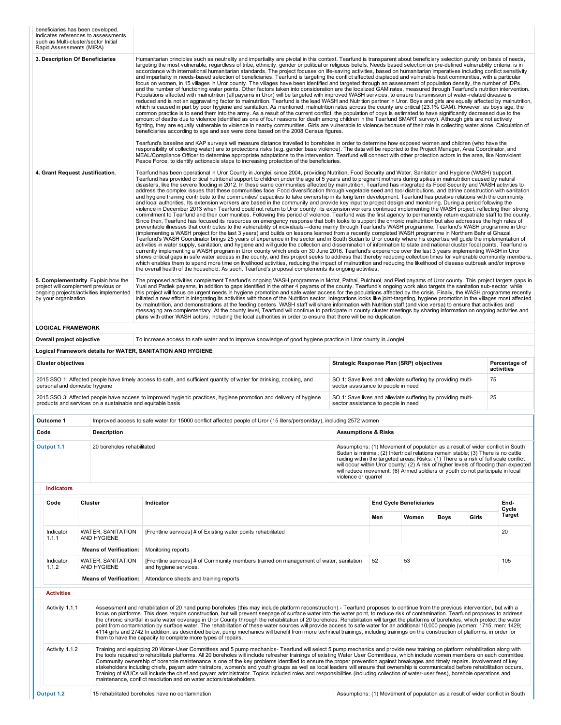| Rapid Assessments (MIRA)        | beneficiaries has been developed.<br>Indicates references to assessments<br>such as Multi-cluster/sector Initial      |  |                                                                                                                                                                                                                                                                                                                                                                                                                                                                                                                                                                                                                                                                                                                                                                                                                                                                                                                                                                                                                                                                                                                                                                                                                                                                                                                                                                                                                                                                                                                                                                                                                                                                                                                                                                                                                                                                                                                                                                                                                                                                                                                                                                                                                                                                                                                                                                                                                                                                                                                                                                                                                                                                                                                                                                                                                    |  |                                                                                                                                                                                                                                                                                                                                                                     |                                |             |       |                                                                                      |
|---------------------------------|-----------------------------------------------------------------------------------------------------------------------|--|--------------------------------------------------------------------------------------------------------------------------------------------------------------------------------------------------------------------------------------------------------------------------------------------------------------------------------------------------------------------------------------------------------------------------------------------------------------------------------------------------------------------------------------------------------------------------------------------------------------------------------------------------------------------------------------------------------------------------------------------------------------------------------------------------------------------------------------------------------------------------------------------------------------------------------------------------------------------------------------------------------------------------------------------------------------------------------------------------------------------------------------------------------------------------------------------------------------------------------------------------------------------------------------------------------------------------------------------------------------------------------------------------------------------------------------------------------------------------------------------------------------------------------------------------------------------------------------------------------------------------------------------------------------------------------------------------------------------------------------------------------------------------------------------------------------------------------------------------------------------------------------------------------------------------------------------------------------------------------------------------------------------------------------------------------------------------------------------------------------------------------------------------------------------------------------------------------------------------------------------------------------------------------------------------------------------------------------------------------------------------------------------------------------------------------------------------------------------------------------------------------------------------------------------------------------------------------------------------------------------------------------------------------------------------------------------------------------------------------------------------------------------------------------------------------------------|--|---------------------------------------------------------------------------------------------------------------------------------------------------------------------------------------------------------------------------------------------------------------------------------------------------------------------------------------------------------------------|--------------------------------|-------------|-------|--------------------------------------------------------------------------------------|
| 3. Description Of Beneficiaries |                                                                                                                       |  | Humanitarian principles such as neutrality and impartiality are pivotal in this context. Tearfund is transparent about beneficiary selection purely on basis of needs,<br>targeting the most vulnerable, regardless of tribe, ethnicity, gender or political or religious beliefs. Needs based selection on pre-defined vulnerability criteria, is in<br>accordance with international humanitarian standards. The project focuses on life-saving activities, based on humanitarian imperatives including conflict sensitivity<br>and impartiality in needs-based selection of beneficiaries. Tearfund is targeting the conflict affected displaced and vulnerable host communities, with a particular<br>focus on women, in 15 villages in Uror county. The villages have been identified and targeted through an assessment of population density, the number of IDPs,<br>and the number of functioning water points. Other factors taken into consideration are the localized GAM rates, measured through Tearfund's nutrition intervention.<br>Populations affected with malnutrition (all payams in Uror) will be targeted with improved WASH services, to ensure transmission of water-related disease is<br>reduced and is not an aggravating factor to malnutrition. Tearfund is the lead WASH and Nutrition partner in Uror. Boys and girls are equally affected by malnutrition,<br>which is caused in part by poor hygiene and sanitation. As mentioned, malnutrition rates across the county are critical (23.1% GAM). However, as boys age, the<br>common practice is to send them into the army. As a result of the current conflict, the population of boys is estimated to have significantly decreased due to the<br>amount of deaths due to violence (identified as one of four reasons for death among children in the Tearfund SMART survey). Although girls are not actively<br>fighting, they are equally vulnerable to violence in nearby communities. Girls are vulnerable to violence because of their role in collecting water alone. Calculation of<br>beneficiaries according to age and sex were done based on the 2008 Census figures.                                                                                                                                                                                                                                                                                                                                                                                                                                                                                                                                                                                                                                               |  |                                                                                                                                                                                                                                                                                                                                                                     |                                |             |       |                                                                                      |
|                                 |                                                                                                                       |  | Tearfund's baseline and KAP surveys will measure distance travelled to boreholes in order to determine how exposed women and children (who have the<br>responsibility of collecting water) are to protections risks (e.g. gender base violence). The data will be reported to the Project Manager, Area Coordinator, and<br>MEAL/Compliance Officer to determine appropriate adaptations to the intervention. Tearfund will connect with other protection actors in the area, like Nonviolent<br>Peace Force, to identify actionable steps to increasing protection of the beneficiaries.                                                                                                                                                                                                                                                                                                                                                                                                                                                                                                                                                                                                                                                                                                                                                                                                                                                                                                                                                                                                                                                                                                                                                                                                                                                                                                                                                                                                                                                                                                                                                                                                                                                                                                                                                                                                                                                                                                                                                                                                                                                                                                                                                                                                                          |  |                                                                                                                                                                                                                                                                                                                                                                     |                                |             |       |                                                                                      |
| 4. Grant Request Justification. |                                                                                                                       |  | Tearfund has been operational in Uror County in Jonglei, since 2004, providing Nutrition, Food Security and Water, Sanitation and Hygiene (WASH) support.<br>Tearfund has provided critical nutritional support to children under the age of 5 years and to pregnant mothers during spikes in malnutrition caused by natural<br>disasters, like the severe flooding in 2012. In these same communities affected by malnutrition, Tearfund has integrated its Food Security and WASH activities to<br>address the complex issues that these communities face. Food diversification through vegetable seed and tool distributions, and latrine construction with sanitation<br>and hygiene training contribute to the communities' capacities to take ownership in its long term development. Tearfund has positive relations with the community<br>and local authorities. Its extension workers are based in the community and provide key input to project design and monitoring. During a period following the<br>violence in December 2013 when Tearfund could not return to Uror county, its extension workers continued implementing the WASH project, reflecting their strong<br>commitment to Tearfund and their communities. Following this period of violence, Tearfund was the first agency to permanently return expatriate staff to the county.<br>Since then, Tearfund has focused its resources on emergency response that both looks to support the chronic malnutrition but also addresses the high rates of<br>preventable illnesses that contributes to the vulnerability of individuals—done mainly through Tearfund's WASH programme. Tearfund's WASH programme in Uror<br>(implementing a WASH project for the last 3 years) and builds on lessons learned from a recently completed WASH programme in Northern Bahr el Ghazal.<br>Tearfund's WASH Coordinator brings 25 years of experience in the sector and in South Sudan to Uror county where his expertise will quide the implementation of<br>activities in water supply, sanitation, and hygiene and will guide the collection and dissemination of information to state and national cluster focal points. Tearfund is<br>currently implementing a WASH program in Uror county which ends on 30 June 2016. Tearfund's experience over the last 3 years implementing WASH in Uror<br>shows critical gaps in safe water access in the county, and this project seeks to address that thereby reducing collection times for vulnerable community members,<br>which enables them to spend more time on livelihood activities, reducing the impact of malnutrition and reducing the likelihood of disease outbreak and/or improve<br>the overall health of the household. As such, Tearfund's proposal complements its ongoing activities. |  |                                                                                                                                                                                                                                                                                                                                                                     |                                |             |       |                                                                                      |
| by your organization.           | 5. Complementarity. Explain how the<br>project will complement previous or<br>ongoing projects/activities implemented |  | The proposed activities complement Tearfund's ongoing WASH programme in Motot, Pathai, Pulchuol, and Pieri payams of Uror county. This project targets gaps in<br>Yuai and Padiek payams, in addition to gaps identified in the other 4 payams of the county. Tearfund's ongoing work also targets the sanitation sub-sector, while<br>this project will focus on urgent needs in hygiene promotion and safe water access for the populations affected by the crisis. Finally, the WASH programme recently<br>initiated a new effort in integrating its activities with those of the Nutrition sector. Integrations looks like joint-targeting, hygiene promotion in the villages most affected<br>by malnutrition, and demonstrations at the feeding centers. WASH staff will share information with Nutrition staff (and vice versa) to ensure that activities and<br>messaging are complementary. At the county level, Tearfund will continue to participate in county cluster meetings by sharing information on ongoing activities and<br>plans with other WASH actors, including the local authorities in order to ensure that there will be no duplication.                                                                                                                                                                                                                                                                                                                                                                                                                                                                                                                                                                                                                                                                                                                                                                                                                                                                                                                                                                                                                                                                                                                                                                                                                                                                                                                                                                                                                                                                                                                                                                                                                                                 |  |                                                                                                                                                                                                                                                                                                                                                                     |                                |             |       |                                                                                      |
| <b>LOGICAL FRAMEWORK</b>        |                                                                                                                       |  |                                                                                                                                                                                                                                                                                                                                                                                                                                                                                                                                                                                                                                                                                                                                                                                                                                                                                                                                                                                                                                                                                                                                                                                                                                                                                                                                                                                                                                                                                                                                                                                                                                                                                                                                                                                                                                                                                                                                                                                                                                                                                                                                                                                                                                                                                                                                                                                                                                                                                                                                                                                                                                                                                                                                                                                                                    |  |                                                                                                                                                                                                                                                                                                                                                                     |                                |             |       |                                                                                      |
| Overall project objective       |                                                                                                                       |  | To increase access to safe water and to improve knowledge of good hygiene practice in Uror county in Jonglei                                                                                                                                                                                                                                                                                                                                                                                                                                                                                                                                                                                                                                                                                                                                                                                                                                                                                                                                                                                                                                                                                                                                                                                                                                                                                                                                                                                                                                                                                                                                                                                                                                                                                                                                                                                                                                                                                                                                                                                                                                                                                                                                                                                                                                                                                                                                                                                                                                                                                                                                                                                                                                                                                                       |  |                                                                                                                                                                                                                                                                                                                                                                     |                                |             |       |                                                                                      |
|                                 |                                                                                                                       |  | Logical Framework details for WATER, SANITATION AND HYGIENE                                                                                                                                                                                                                                                                                                                                                                                                                                                                                                                                                                                                                                                                                                                                                                                                                                                                                                                                                                                                                                                                                                                                                                                                                                                                                                                                                                                                                                                                                                                                                                                                                                                                                                                                                                                                                                                                                                                                                                                                                                                                                                                                                                                                                                                                                                                                                                                                                                                                                                                                                                                                                                                                                                                                                        |  |                                                                                                                                                                                                                                                                                                                                                                     |                                |             |       |                                                                                      |
| <b>Cluster objectives</b>       |                                                                                                                       |  |                                                                                                                                                                                                                                                                                                                                                                                                                                                                                                                                                                                                                                                                                                                                                                                                                                                                                                                                                                                                                                                                                                                                                                                                                                                                                                                                                                                                                                                                                                                                                                                                                                                                                                                                                                                                                                                                                                                                                                                                                                                                                                                                                                                                                                                                                                                                                                                                                                                                                                                                                                                                                                                                                                                                                                                                                    |  | Strategic Response Plan (SRP) objectives                                                                                                                                                                                                                                                                                                                            |                                |             |       | Percentage of<br>activities                                                          |
| personal and domestic hygiene   |                                                                                                                       |  | 2015 SSO 1: Affected people have timely access to safe, and sufficient quantity of water for drinking, cooking, and                                                                                                                                                                                                                                                                                                                                                                                                                                                                                                                                                                                                                                                                                                                                                                                                                                                                                                                                                                                                                                                                                                                                                                                                                                                                                                                                                                                                                                                                                                                                                                                                                                                                                                                                                                                                                                                                                                                                                                                                                                                                                                                                                                                                                                                                                                                                                                                                                                                                                                                                                                                                                                                                                                |  | SO 1: Save lives and alleviate suffering by providing multi-<br>sector assistance to people in need                                                                                                                                                                                                                                                                 |                                |             |       | 75                                                                                   |
|                                 | products and services on a sustainable and equitable basis                                                            |  | 2015 SSO 3: Affected people have access to improved hygienic practices, hygiene promotion and delivery of hygiene                                                                                                                                                                                                                                                                                                                                                                                                                                                                                                                                                                                                                                                                                                                                                                                                                                                                                                                                                                                                                                                                                                                                                                                                                                                                                                                                                                                                                                                                                                                                                                                                                                                                                                                                                                                                                                                                                                                                                                                                                                                                                                                                                                                                                                                                                                                                                                                                                                                                                                                                                                                                                                                                                                  |  | SO 1: Save lives and alleviate suffering by providing multi-<br>sector assistance to people in need                                                                                                                                                                                                                                                                 |                                |             |       | 25                                                                                   |
| Outcome 1                       |                                                                                                                       |  | Improved access to safe water for 15000 conflict affected people of Uror (15 liters/person/day), including 2572 women                                                                                                                                                                                                                                                                                                                                                                                                                                                                                                                                                                                                                                                                                                                                                                                                                                                                                                                                                                                                                                                                                                                                                                                                                                                                                                                                                                                                                                                                                                                                                                                                                                                                                                                                                                                                                                                                                                                                                                                                                                                                                                                                                                                                                                                                                                                                                                                                                                                                                                                                                                                                                                                                                              |  |                                                                                                                                                                                                                                                                                                                                                                     |                                |             |       |                                                                                      |
| Code                            | Description                                                                                                           |  |                                                                                                                                                                                                                                                                                                                                                                                                                                                                                                                                                                                                                                                                                                                                                                                                                                                                                                                                                                                                                                                                                                                                                                                                                                                                                                                                                                                                                                                                                                                                                                                                                                                                                                                                                                                                                                                                                                                                                                                                                                                                                                                                                                                                                                                                                                                                                                                                                                                                                                                                                                                                                                                                                                                                                                                                                    |  | <b>Assumptions &amp; Risks</b>                                                                                                                                                                                                                                                                                                                                      |                                |             |       |                                                                                      |
| Output 1.1                      | 20 boreholes rehabilitated                                                                                            |  |                                                                                                                                                                                                                                                                                                                                                                                                                                                                                                                                                                                                                                                                                                                                                                                                                                                                                                                                                                                                                                                                                                                                                                                                                                                                                                                                                                                                                                                                                                                                                                                                                                                                                                                                                                                                                                                                                                                                                                                                                                                                                                                                                                                                                                                                                                                                                                                                                                                                                                                                                                                                                                                                                                                                                                                                                    |  | Assumptions: (1) Movement of population as a result of wider conflict in South<br>Sudan is minimal; (2) Intertribal relations remain stable; (3) There is no cattle<br>raiding within the targeted areas; Risks: (1) There is a risk of full scale conflict<br>will reduce movement; (6) Armed soldiers or youth do not participate in local<br>violence or quarrel |                                |             |       | will occur within Uror county; (2) A risk of higher levels of flooding than expected |
| <b>Indicators</b>               |                                                                                                                       |  |                                                                                                                                                                                                                                                                                                                                                                                                                                                                                                                                                                                                                                                                                                                                                                                                                                                                                                                                                                                                                                                                                                                                                                                                                                                                                                                                                                                                                                                                                                                                                                                                                                                                                                                                                                                                                                                                                                                                                                                                                                                                                                                                                                                                                                                                                                                                                                                                                                                                                                                                                                                                                                                                                                                                                                                                                    |  |                                                                                                                                                                                                                                                                                                                                                                     |                                |             |       |                                                                                      |
| Code                            | Cluster                                                                                                               |  | Indicator                                                                                                                                                                                                                                                                                                                                                                                                                                                                                                                                                                                                                                                                                                                                                                                                                                                                                                                                                                                                                                                                                                                                                                                                                                                                                                                                                                                                                                                                                                                                                                                                                                                                                                                                                                                                                                                                                                                                                                                                                                                                                                                                                                                                                                                                                                                                                                                                                                                                                                                                                                                                                                                                                                                                                                                                          |  |                                                                                                                                                                                                                                                                                                                                                                     | <b>End Cycle Beneficiaries</b> |             |       | End-<br>Cycle<br>Target                                                              |
| Indicator                       | <b>WATER, SANITATION</b>                                                                                              |  | [Frontline services] # of Existing water points rehabilitated                                                                                                                                                                                                                                                                                                                                                                                                                                                                                                                                                                                                                                                                                                                                                                                                                                                                                                                                                                                                                                                                                                                                                                                                                                                                                                                                                                                                                                                                                                                                                                                                                                                                                                                                                                                                                                                                                                                                                                                                                                                                                                                                                                                                                                                                                                                                                                                                                                                                                                                                                                                                                                                                                                                                                      |  | Men                                                                                                                                                                                                                                                                                                                                                                 | Women                          | <b>Boys</b> | Girls | 20                                                                                   |
|                                 | 1.1.1<br>AND HYGIENE                                                                                                  |  | Monitoring reports                                                                                                                                                                                                                                                                                                                                                                                                                                                                                                                                                                                                                                                                                                                                                                                                                                                                                                                                                                                                                                                                                                                                                                                                                                                                                                                                                                                                                                                                                                                                                                                                                                                                                                                                                                                                                                                                                                                                                                                                                                                                                                                                                                                                                                                                                                                                                                                                                                                                                                                                                                                                                                                                                                                                                                                                 |  |                                                                                                                                                                                                                                                                                                                                                                     |                                |             |       |                                                                                      |
| Indicator<br>1.1.2              | <b>Means of Verification:</b><br>WATER, SANITATION<br>AND HYGIENE                                                     |  | [Frontline services] # of Community members trained on management of water, sanitation<br>and hygiene services.                                                                                                                                                                                                                                                                                                                                                                                                                                                                                                                                                                                                                                                                                                                                                                                                                                                                                                                                                                                                                                                                                                                                                                                                                                                                                                                                                                                                                                                                                                                                                                                                                                                                                                                                                                                                                                                                                                                                                                                                                                                                                                                                                                                                                                                                                                                                                                                                                                                                                                                                                                                                                                                                                                    |  | 52                                                                                                                                                                                                                                                                                                                                                                  | 53                             |             |       | 105                                                                                  |
|                                 | <b>Means of Verification:</b>                                                                                         |  | Attendance sheets and training reports                                                                                                                                                                                                                                                                                                                                                                                                                                                                                                                                                                                                                                                                                                                                                                                                                                                                                                                                                                                                                                                                                                                                                                                                                                                                                                                                                                                                                                                                                                                                                                                                                                                                                                                                                                                                                                                                                                                                                                                                                                                                                                                                                                                                                                                                                                                                                                                                                                                                                                                                                                                                                                                                                                                                                                             |  |                                                                                                                                                                                                                                                                                                                                                                     |                                |             |       |                                                                                      |
| <b>Activities</b>               |                                                                                                                       |  |                                                                                                                                                                                                                                                                                                                                                                                                                                                                                                                                                                                                                                                                                                                                                                                                                                                                                                                                                                                                                                                                                                                                                                                                                                                                                                                                                                                                                                                                                                                                                                                                                                                                                                                                                                                                                                                                                                                                                                                                                                                                                                                                                                                                                                                                                                                                                                                                                                                                                                                                                                                                                                                                                                                                                                                                                    |  |                                                                                                                                                                                                                                                                                                                                                                     |                                |             |       |                                                                                      |
| Activity 1.1.1                  |                                                                                                                       |  | Assessment and rehabilitation of 20 hand pump boreholes (this may include platform reconstruction) - Tearfund proposes to continue from the previous intervention, but with a<br>focus on platforms. This does require construction, but will prevent seepage of surface water into the water point, to reduce risk of contamination. Tearfund proposes to address<br>the chronic shortfall in safe water coverage in Uror County through the rehabilitation of 20 boreholes. Rehabilitation will target the platforms of boreholes, which protect the water<br>point from contamination by surface water. The rehabilitation of these water sources will provide access to safe water for an additional 10,000 people (women: 1715; men: 1429;<br>4114 girls and 2742 In addition, as described below, pump mechanics will benefit from more technical trainings, including trainings on the construction of platforms, in order for<br>them to have the capacity to complete more types of repairs.                                                                                                                                                                                                                                                                                                                                                                                                                                                                                                                                                                                                                                                                                                                                                                                                                                                                                                                                                                                                                                                                                                                                                                                                                                                                                                                                                                                                                                                                                                                                                                                                                                                                                                                                                                                                              |  |                                                                                                                                                                                                                                                                                                                                                                     |                                |             |       |                                                                                      |
|                                 | Activity 1.1.2                                                                                                        |  | Training and equipping 20 Water-User Committees and 5 pump mechanics- Tearfund will select 5 pump mechanics and provide new training on platform rehabilitation along with<br>the tools required to rehabilitate platforms. All 20 boreholes will include refresher trainings of existing Water User Committees, which include women members on each committee.<br>Community ownership of borehole maintenance is one of the key problems identified to ensure the proper prevention against breakages and timely repairs. Involvement of key<br>stakeholders including chiefs, payam administrators, women's and youth groups as well as local leaders will ensure that ownership is communicated before rehabilitation occurs.<br>Training of WUCs will include the chief and payam administrator. Topics included roles and responsibilities (including collection of water-user fees), borehole operations and<br>maintenance, conflict resolution and on water actors/stakeholders.                                                                                                                                                                                                                                                                                                                                                                                                                                                                                                                                                                                                                                                                                                                                                                                                                                                                                                                                                                                                                                                                                                                                                                                                                                                                                                                                                                                                                                                                                                                                                                                                                                                                                                                                                                                                                           |  |                                                                                                                                                                                                                                                                                                                                                                     |                                |             |       |                                                                                      |
| Output 1.2                      |                                                                                                                       |  | 15 rehabilitated boreholes have no contamination                                                                                                                                                                                                                                                                                                                                                                                                                                                                                                                                                                                                                                                                                                                                                                                                                                                                                                                                                                                                                                                                                                                                                                                                                                                                                                                                                                                                                                                                                                                                                                                                                                                                                                                                                                                                                                                                                                                                                                                                                                                                                                                                                                                                                                                                                                                                                                                                                                                                                                                                                                                                                                                                                                                                                                   |  | Assumptions: (1) Movement of population as a result of wider conflict in South                                                                                                                                                                                                                                                                                      |                                |             |       |                                                                                      |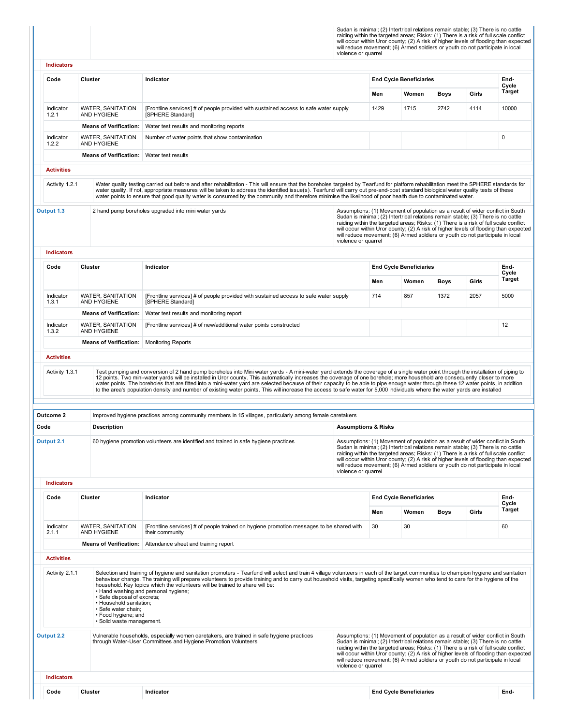Sudan is minimal; (2) Intertribal relations remain stable; (3) There is no cattle raiding within the targeted areas; Risks: (1) There is a risk of full scale conflict<br>will occur within Uror county; (2) A risk of higher lev

| <b>Indicators</b>               |                                                                                                                                   |                                                                                                                                                                                                                                                                                                                                                                                                                                                                                                                                                                                                                                                                                                                                         |                                |      |                                                                                                                                                                                                                                                                                                                                              |             |       |                                                                                      |
|---------------------------------|-----------------------------------------------------------------------------------------------------------------------------------|-----------------------------------------------------------------------------------------------------------------------------------------------------------------------------------------------------------------------------------------------------------------------------------------------------------------------------------------------------------------------------------------------------------------------------------------------------------------------------------------------------------------------------------------------------------------------------------------------------------------------------------------------------------------------------------------------------------------------------------------|--------------------------------|------|----------------------------------------------------------------------------------------------------------------------------------------------------------------------------------------------------------------------------------------------------------------------------------------------------------------------------------------------|-------------|-------|--------------------------------------------------------------------------------------|
|                                 |                                                                                                                                   |                                                                                                                                                                                                                                                                                                                                                                                                                                                                                                                                                                                                                                                                                                                                         |                                |      |                                                                                                                                                                                                                                                                                                                                              |             |       |                                                                                      |
| Code                            | Cluster                                                                                                                           | Indicator                                                                                                                                                                                                                                                                                                                                                                                                                                                                                                                                                                                                                                                                                                                               |                                |      | <b>End Cycle Beneficiaries</b>                                                                                                                                                                                                                                                                                                               |             |       | End-<br>Cycle                                                                        |
|                                 |                                                                                                                                   |                                                                                                                                                                                                                                                                                                                                                                                                                                                                                                                                                                                                                                                                                                                                         |                                | Men  | Women                                                                                                                                                                                                                                                                                                                                        | <b>Boys</b> | Girls | <b>Target</b>                                                                        |
| Indicator<br>1.2.1              | <b>WATER, SANITATION</b><br>AND HYGIENE                                                                                           | [Frontline services] # of people provided with sustained access to safe water supply<br>[SPHERE Standard]                                                                                                                                                                                                                                                                                                                                                                                                                                                                                                                                                                                                                               |                                | 1429 | 1715                                                                                                                                                                                                                                                                                                                                         | 2742        | 4114  | 10000                                                                                |
|                                 | <b>Means of Verification:</b>                                                                                                     | Water test results and monitoring reports                                                                                                                                                                                                                                                                                                                                                                                                                                                                                                                                                                                                                                                                                               |                                |      |                                                                                                                                                                                                                                                                                                                                              |             |       |                                                                                      |
| Indicator<br>1.2.2              | <b>WATER, SANITATION</b><br>AND HYGIENE                                                                                           | Number of water points that show contamination                                                                                                                                                                                                                                                                                                                                                                                                                                                                                                                                                                                                                                                                                          |                                |      |                                                                                                                                                                                                                                                                                                                                              |             |       | $\mathbf 0$                                                                          |
|                                 | <b>Means of Verification:</b>                                                                                                     | Water test results                                                                                                                                                                                                                                                                                                                                                                                                                                                                                                                                                                                                                                                                                                                      |                                |      |                                                                                                                                                                                                                                                                                                                                              |             |       |                                                                                      |
| <b>Activities</b>               |                                                                                                                                   |                                                                                                                                                                                                                                                                                                                                                                                                                                                                                                                                                                                                                                                                                                                                         |                                |      |                                                                                                                                                                                                                                                                                                                                              |             |       |                                                                                      |
| Activity 1.2.1                  |                                                                                                                                   | Water quality testing carried out before and after rehabilitation - This will ensure that the boreholes targeted by Tearfund for platform rehabilitation meet the SPHERE standards for<br>water quality. If not, appropriate measures will be taken to address the identified issue(s). Tearfund will carry out pre-and-post standard biological water quality tests of these<br>water points to ensure that good quality water is consumed by the community and therefore minimise the likelihood of poor health due to contaminated water.                                                                                                                                                                                            |                                |      |                                                                                                                                                                                                                                                                                                                                              |             |       |                                                                                      |
| Output 1.3<br><b>Indicators</b> |                                                                                                                                   | 2 hand pump boreholes upgraded into mini water yards                                                                                                                                                                                                                                                                                                                                                                                                                                                                                                                                                                                                                                                                                    | violence or quarrel            |      | Assumptions: (1) Movement of population as a result of wider conflict in South<br>Sudan is minimal; (2) Intertribal relations remain stable; (3) There is no cattle<br>raiding within the targeted areas; Risks: (1) There is a risk of full scale conflict<br>will reduce movement; (6) Armed soldiers or youth do not participate in local |             |       | will occur within Uror county; (2) A risk of higher levels of flooding than expected |
| Code                            | Cluster                                                                                                                           | Indicator                                                                                                                                                                                                                                                                                                                                                                                                                                                                                                                                                                                                                                                                                                                               |                                |      | <b>End Cycle Beneficiaries</b>                                                                                                                                                                                                                                                                                                               |             |       | End-                                                                                 |
|                                 |                                                                                                                                   |                                                                                                                                                                                                                                                                                                                                                                                                                                                                                                                                                                                                                                                                                                                                         |                                | Men  | Women                                                                                                                                                                                                                                                                                                                                        | Boys        | Girls | Cycle<br>Target                                                                      |
| Indicator<br>1.3.1              | <b>WATER, SANITATION</b><br>AND HYGIENE                                                                                           | [Frontline services] # of people provided with sustained access to safe water supply<br>[SPHERE Standard]                                                                                                                                                                                                                                                                                                                                                                                                                                                                                                                                                                                                                               |                                | 714  | 857                                                                                                                                                                                                                                                                                                                                          | 1372        | 2057  | 5000                                                                                 |
|                                 | <b>Means of Verification:</b>                                                                                                     | Water test results and monitoring report                                                                                                                                                                                                                                                                                                                                                                                                                                                                                                                                                                                                                                                                                                |                                |      |                                                                                                                                                                                                                                                                                                                                              |             |       |                                                                                      |
| Indicator<br>1.3.2              | <b>WATER, SANITATION</b><br>AND HYGIENE                                                                                           | [Frontline services] # of new/additional water points constructed                                                                                                                                                                                                                                                                                                                                                                                                                                                                                                                                                                                                                                                                       |                                |      |                                                                                                                                                                                                                                                                                                                                              |             |       | 12                                                                                   |
|                                 | <b>Means of Verification:</b>                                                                                                     | <b>Monitoring Reports</b>                                                                                                                                                                                                                                                                                                                                                                                                                                                                                                                                                                                                                                                                                                               |                                |      |                                                                                                                                                                                                                                                                                                                                              |             |       |                                                                                      |
| <b>Activities</b>               |                                                                                                                                   |                                                                                                                                                                                                                                                                                                                                                                                                                                                                                                                                                                                                                                                                                                                                         |                                |      |                                                                                                                                                                                                                                                                                                                                              |             |       |                                                                                      |
| Activity 1.3.1                  |                                                                                                                                   | Test pumping and conversion of 2 hand pump boreholes into Mini water yards - A mini-water yard extends the coverage of a single water point through the installation of piping to<br>12 points. Two mini-water yards will be installed in Uror county. This automatically increases the coverage of one borehole; more household are consequently closer to more<br>water points. The boreholes that are fitted into a mini-water yard are selected because of their capacity to be able to pipe enough water through these 12 water points, in addition<br>to the area's population density and number of existing water points. This will increase the access to safe water for 5,000 individuals where the water yards are installed |                                |      |                                                                                                                                                                                                                                                                                                                                              |             |       |                                                                                      |
| Outcome 2                       |                                                                                                                                   | Improved hygiene practices among community members in 15 villages, particularly among female caretakers                                                                                                                                                                                                                                                                                                                                                                                                                                                                                                                                                                                                                                 |                                |      |                                                                                                                                                                                                                                                                                                                                              |             |       |                                                                                      |
| Code                            | <b>Description</b>                                                                                                                |                                                                                                                                                                                                                                                                                                                                                                                                                                                                                                                                                                                                                                                                                                                                         | <b>Assumptions &amp; Risks</b> |      |                                                                                                                                                                                                                                                                                                                                              |             |       |                                                                                      |
| Output 2.1                      |                                                                                                                                   | 60 hygiene promotion volunteers are identified and trained in safe hygiene practices                                                                                                                                                                                                                                                                                                                                                                                                                                                                                                                                                                                                                                                    | violence or quarrel            |      | Assumptions: (1) Movement of population as a result of wider conflict in South<br>Sudan is minimal; (2) Intertribal relations remain stable; (3) There is no cattle<br>raiding within the targeted areas; Risks: (1) There is a risk of full scale conflict<br>will reduce movement; (6) Armed soldiers or youth do not participate in local |             |       | will occur within Uror county; (2) A risk of higher levels of flooding than expected |
| <b>Indicators</b>               |                                                                                                                                   |                                                                                                                                                                                                                                                                                                                                                                                                                                                                                                                                                                                                                                                                                                                                         |                                |      |                                                                                                                                                                                                                                                                                                                                              |             |       |                                                                                      |
| Code                            | Cluster                                                                                                                           | Indicator                                                                                                                                                                                                                                                                                                                                                                                                                                                                                                                                                                                                                                                                                                                               |                                |      | <b>End Cycle Beneficiaries</b>                                                                                                                                                                                                                                                                                                               |             |       | End-<br>Cycle                                                                        |
|                                 |                                                                                                                                   |                                                                                                                                                                                                                                                                                                                                                                                                                                                                                                                                                                                                                                                                                                                                         |                                | Men  | Women                                                                                                                                                                                                                                                                                                                                        | <b>Boys</b> | Girls | Target                                                                               |
| Indicator<br>2.1.1              | <b>WATER, SANITATION</b><br>AND HYGIENE                                                                                           | [Frontline services] # of people trained on hygiene promotion messages to be shared with<br>their community                                                                                                                                                                                                                                                                                                                                                                                                                                                                                                                                                                                                                             |                                | 30   | 30                                                                                                                                                                                                                                                                                                                                           |             |       | 60                                                                                   |
|                                 | <b>Means of Verification:</b>                                                                                                     | Attendance sheet and training report                                                                                                                                                                                                                                                                                                                                                                                                                                                                                                                                                                                                                                                                                                    |                                |      |                                                                                                                                                                                                                                                                                                                                              |             |       |                                                                                      |
| <b>Activities</b>               |                                                                                                                                   |                                                                                                                                                                                                                                                                                                                                                                                                                                                                                                                                                                                                                                                                                                                                         |                                |      |                                                                                                                                                                                                                                                                                                                                              |             |       |                                                                                      |
| Activity 2.1.1                  | · Safe disposal of excreta;<br>• Household sanitation;<br>· Safe water chain;<br>• Food hygiene; and<br>· Solid waste management. | Selection and training of hygiene and sanitation promoters - Tearfund will select and train 4 village volunteers in each of the target communities to champion hygiene and sanitation<br>behaviour change. The training will prepare volunteers to provide training and to carry out household visits, targeting specifically women who tend to care for the hygiene of the<br>household. Key topics which the volunteers will be trained to share will be:<br>. Hand washing and personal hygiene;                                                                                                                                                                                                                                     |                                |      |                                                                                                                                                                                                                                                                                                                                              |             |       |                                                                                      |
| Output 2.2                      |                                                                                                                                   | Vulnerable households, especially women caretakers, are trained in safe hygiene practices<br>through Water-User Committees and Hygiene Promotion Volunteers                                                                                                                                                                                                                                                                                                                                                                                                                                                                                                                                                                             | violence or quarrel            |      | Assumptions: (1) Movement of population as a result of wider conflict in South<br>Sudan is minimal; (2) Intertribal relations remain stable; (3) There is no cattle<br>raiding within the targeted areas; Risks: (1) There is a risk of full scale conflict<br>will reduce movement; (6) Armed soldiers or youth do not participate in local |             |       | will occur within Uror county; (2) A risk of higher levels of flooding than expected |
| <b>Indicators</b>               |                                                                                                                                   |                                                                                                                                                                                                                                                                                                                                                                                                                                                                                                                                                                                                                                                                                                                                         |                                |      |                                                                                                                                                                                                                                                                                                                                              |             |       |                                                                                      |
| Code                            | Cluster                                                                                                                           | Indicator                                                                                                                                                                                                                                                                                                                                                                                                                                                                                                                                                                                                                                                                                                                               |                                |      | <b>End Cycle Beneficiaries</b>                                                                                                                                                                                                                                                                                                               |             |       | End-                                                                                 |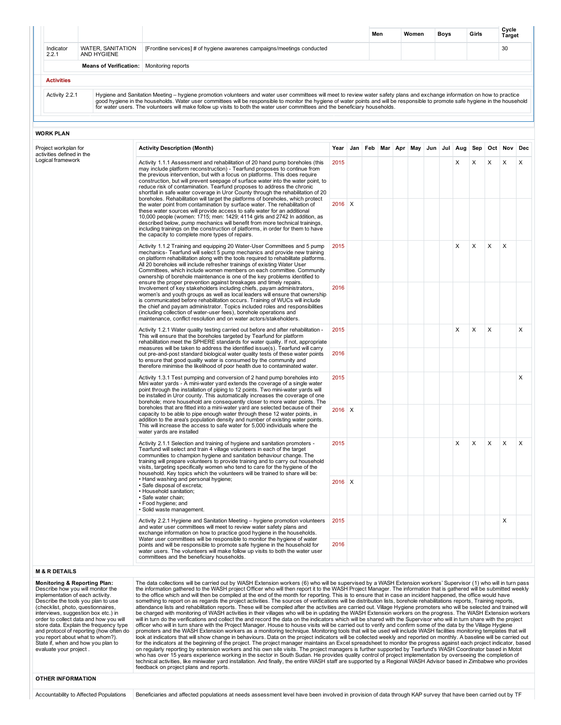|                    |                                  |                                                                                                                                                                                                                                                                                                                                                                                                                                                                                                 | Men | Women | <b>Boys</b> | Girls | Cycle<br>Target |
|--------------------|----------------------------------|-------------------------------------------------------------------------------------------------------------------------------------------------------------------------------------------------------------------------------------------------------------------------------------------------------------------------------------------------------------------------------------------------------------------------------------------------------------------------------------------------|-----|-------|-------------|-------|-----------------|
| Indicator<br>2.2.1 | WATER, SANITATION<br>AND HYGIENE | [Frontline services] # of hygiene awarenes campaigns/meetings conducted                                                                                                                                                                                                                                                                                                                                                                                                                         |     |       |             |       | 30              |
|                    | <b>Means of Verification:</b>    | Monitoring reports                                                                                                                                                                                                                                                                                                                                                                                                                                                                              |     |       |             |       |                 |
| <b>Activities</b>  |                                  |                                                                                                                                                                                                                                                                                                                                                                                                                                                                                                 |     |       |             |       |                 |
| Activity 2.2.1     |                                  | Hygiene and Sanitation Meeting – hygiene promotion volunteers and water user committees will meet to review water safety plans and exchange information on how to practice<br>good hygiene in the households. Water user committees will be responsible to monitor the hygiene of water points and will be responsible to promote safe hygiene in the household<br>for water users. The volunteers will make follow up visits to both the water user committees and the beneficiary households. |     |       |             |       |                 |

## WORK PLAN

| Logical framework<br>2015<br>X<br>X<br>X<br>Activity 1.1.1 Assessment and rehabilitation of 20 hand pump boreholes (this<br>X<br>may include platform reconstruction) - Tearfund proposes to continue from<br>the previous intervention, but with a focus on platforms. This does require<br>construction, but will prevent seepage of surface water into the water point, to<br>reduce risk of contamination. Tearfund proposes to address the chronic<br>shortfall in safe water coverage in Uror County through the rehabilitation of 20<br>boreholes. Rehabilitation will target the platforms of boreholes, which protect<br>$2016$ X<br>the water point from contamination by surface water. The rehabilitation of<br>these water sources will provide access to safe water for an additional<br>10,000 people (women: 1715; men: 1429; 4114 girls and 2742 In addition, as<br>described below, pump mechanics will benefit from more technical trainings,<br>including trainings on the construction of platforms, in order for them to have<br>the capacity to complete more types of repairs.<br>X<br>X<br>X<br>2015<br>X<br>Activity 1.1.2 Training and equipping 20 Water-User Committees and 5 pump<br>mechanics- Tearfund will select 5 pump mechanics and provide new training<br>on platform rehabilitation along with the tools required to rehabilitate platforms.<br>All 20 boreholes will include refresher trainings of existing Water User<br>Committees, which include women members on each committee. Community<br>ownership of borehole maintenance is one of the key problems identified to<br>ensure the proper prevention against breakages and timely repairs.<br>2016<br>Involvement of key stakeholders including chiefs, payam administrators,<br>women's and youth groups as well as local leaders will ensure that ownership<br>is communicated before rehabilitation occurs. Training of WUCs will include<br>the chief and payam administrator. Topics included roles and responsibilities<br>(including collection of water-user fees), borehole operations and<br>maintenance, conflict resolution and on water actors/stakeholders.<br>X<br>X<br>X<br>Activity 1.2.1 Water quality testing carried out before and after rehabilitation -<br>2015<br>This will ensure that the boreholes targeted by Tearfund for platform<br>rehabilitation meet the SPHERE standards for water quality. If not, appropriate<br>measures will be taken to address the identified issue(s). Tearfund will carry<br>2016<br>out pre-and-post standard biological water quality tests of these water points<br>to ensure that good quality water is consumed by the community and<br>therefore minimise the likelihood of poor health due to contaminated water.<br>Activity 1.3.1 Test pumping and conversion of 2 hand pump boreholes into<br>2015<br>Mini water yards - A mini-water yard extends the coverage of a single water<br>point through the installation of piping to 12 points. Two mini-water yards will<br>be installed in Uror county. This automatically increases the coverage of one<br>borehole; more household are consequently closer to more water points. The<br>boreholes that are fitted into a mini-water yard are selected because of their<br>$2016$ X<br>capacity to be able to pipe enough water through these 12 water points, in<br>addition to the area's population density and number of existing water points.<br>This will increase the access to safe water for 5,000 individuals where the<br>water yards are installed<br>2015<br>X<br>X<br>X<br>X<br>Activity 2.1.1 Selection and training of hygiene and sanitation promoters -<br>Tearfund will select and train 4 village volunteers in each of the target<br>communities to champion hygiene and sanitation behaviour change. The<br>training will prepare volunteers to provide training and to carry out household<br>visits, targeting specifically women who tend to care for the hygiene of the<br>household. Key topics which the volunteers will be trained to share will be:<br>. Hand washing and personal hygiene;<br>$2016$ X<br>· Safe disposal of excreta;<br>• Household sanitation;<br>· Safe water chain; | Oct Nov<br>Dec<br>Sep | Jul Aug | Jun | May | Feb Mar Apr | Jan | Year | <b>Activity Description (Month)</b> | Project workplan for<br>activities defined in the |
|----------------------------------------------------------------------------------------------------------------------------------------------------------------------------------------------------------------------------------------------------------------------------------------------------------------------------------------------------------------------------------------------------------------------------------------------------------------------------------------------------------------------------------------------------------------------------------------------------------------------------------------------------------------------------------------------------------------------------------------------------------------------------------------------------------------------------------------------------------------------------------------------------------------------------------------------------------------------------------------------------------------------------------------------------------------------------------------------------------------------------------------------------------------------------------------------------------------------------------------------------------------------------------------------------------------------------------------------------------------------------------------------------------------------------------------------------------------------------------------------------------------------------------------------------------------------------------------------------------------------------------------------------------------------------------------------------------------------------------------------------------------------------------------------------------------------------------------------------------------------------------------------------------------------------------------------------------------------------------------------------------------------------------------------------------------------------------------------------------------------------------------------------------------------------------------------------------------------------------------------------------------------------------------------------------------------------------------------------------------------------------------------------------------------------------------------------------------------------------------------------------------------------------------------------------------------------------------------------------------------------------------------------------------------------------------------------------------------------------------------------------------------------------------------------------------------------------------------------------------------------------------------------------------------------------------------------------------------------------------------------------------------------------------------------------------------------------------------------------------------------------------------------------------------------------------------------------------------------------------------------------------------------------------------------------------------------------------------------------------------------------------------------------------------------------------------------------------------------------------------------------------------------------------------------------------------------------------------------------------------------------------------------------------------------------------------------------------------------------------------------------------------------------------------------------------------------------------------------------------------------------------------------------------------------------------------------------------------------------------------------------------------------------------------------------------------------------------------------------------------------------------------------------------------------------------------------------------------------------------------|-----------------------|---------|-----|-----|-------------|-----|------|-------------------------------------|---------------------------------------------------|
|                                                                                                                                                                                                                                                                                                                                                                                                                                                                                                                                                                                                                                                                                                                                                                                                                                                                                                                                                                                                                                                                                                                                                                                                                                                                                                                                                                                                                                                                                                                                                                                                                                                                                                                                                                                                                                                                                                                                                                                                                                                                                                                                                                                                                                                                                                                                                                                                                                                                                                                                                                                                                                                                                                                                                                                                                                                                                                                                                                                                                                                                                                                                                                                                                                                                                                                                                                                                                                                                                                                                                                                                                                                                                                                                                                                                                                                                                                                                                                                                                                                                                                                                                                                                                                              | X                     |         |     |     |             |     |      |                                     |                                                   |
|                                                                                                                                                                                                                                                                                                                                                                                                                                                                                                                                                                                                                                                                                                                                                                                                                                                                                                                                                                                                                                                                                                                                                                                                                                                                                                                                                                                                                                                                                                                                                                                                                                                                                                                                                                                                                                                                                                                                                                                                                                                                                                                                                                                                                                                                                                                                                                                                                                                                                                                                                                                                                                                                                                                                                                                                                                                                                                                                                                                                                                                                                                                                                                                                                                                                                                                                                                                                                                                                                                                                                                                                                                                                                                                                                                                                                                                                                                                                                                                                                                                                                                                                                                                                                                              |                       |         |     |     |             |     |      |                                     |                                                   |
|                                                                                                                                                                                                                                                                                                                                                                                                                                                                                                                                                                                                                                                                                                                                                                                                                                                                                                                                                                                                                                                                                                                                                                                                                                                                                                                                                                                                                                                                                                                                                                                                                                                                                                                                                                                                                                                                                                                                                                                                                                                                                                                                                                                                                                                                                                                                                                                                                                                                                                                                                                                                                                                                                                                                                                                                                                                                                                                                                                                                                                                                                                                                                                                                                                                                                                                                                                                                                                                                                                                                                                                                                                                                                                                                                                                                                                                                                                                                                                                                                                                                                                                                                                                                                                              |                       |         |     |     |             |     |      |                                     |                                                   |
|                                                                                                                                                                                                                                                                                                                                                                                                                                                                                                                                                                                                                                                                                                                                                                                                                                                                                                                                                                                                                                                                                                                                                                                                                                                                                                                                                                                                                                                                                                                                                                                                                                                                                                                                                                                                                                                                                                                                                                                                                                                                                                                                                                                                                                                                                                                                                                                                                                                                                                                                                                                                                                                                                                                                                                                                                                                                                                                                                                                                                                                                                                                                                                                                                                                                                                                                                                                                                                                                                                                                                                                                                                                                                                                                                                                                                                                                                                                                                                                                                                                                                                                                                                                                                                              |                       |         |     |     |             |     |      |                                     |                                                   |
|                                                                                                                                                                                                                                                                                                                                                                                                                                                                                                                                                                                                                                                                                                                                                                                                                                                                                                                                                                                                                                                                                                                                                                                                                                                                                                                                                                                                                                                                                                                                                                                                                                                                                                                                                                                                                                                                                                                                                                                                                                                                                                                                                                                                                                                                                                                                                                                                                                                                                                                                                                                                                                                                                                                                                                                                                                                                                                                                                                                                                                                                                                                                                                                                                                                                                                                                                                                                                                                                                                                                                                                                                                                                                                                                                                                                                                                                                                                                                                                                                                                                                                                                                                                                                                              | X                     |         |     |     |             |     |      |                                     |                                                   |
|                                                                                                                                                                                                                                                                                                                                                                                                                                                                                                                                                                                                                                                                                                                                                                                                                                                                                                                                                                                                                                                                                                                                                                                                                                                                                                                                                                                                                                                                                                                                                                                                                                                                                                                                                                                                                                                                                                                                                                                                                                                                                                                                                                                                                                                                                                                                                                                                                                                                                                                                                                                                                                                                                                                                                                                                                                                                                                                                                                                                                                                                                                                                                                                                                                                                                                                                                                                                                                                                                                                                                                                                                                                                                                                                                                                                                                                                                                                                                                                                                                                                                                                                                                                                                                              |                       |         |     |     |             |     |      |                                     |                                                   |
|                                                                                                                                                                                                                                                                                                                                                                                                                                                                                                                                                                                                                                                                                                                                                                                                                                                                                                                                                                                                                                                                                                                                                                                                                                                                                                                                                                                                                                                                                                                                                                                                                                                                                                                                                                                                                                                                                                                                                                                                                                                                                                                                                                                                                                                                                                                                                                                                                                                                                                                                                                                                                                                                                                                                                                                                                                                                                                                                                                                                                                                                                                                                                                                                                                                                                                                                                                                                                                                                                                                                                                                                                                                                                                                                                                                                                                                                                                                                                                                                                                                                                                                                                                                                                                              | X                     |         |     |     |             |     |      |                                     |                                                   |
|                                                                                                                                                                                                                                                                                                                                                                                                                                                                                                                                                                                                                                                                                                                                                                                                                                                                                                                                                                                                                                                                                                                                                                                                                                                                                                                                                                                                                                                                                                                                                                                                                                                                                                                                                                                                                                                                                                                                                                                                                                                                                                                                                                                                                                                                                                                                                                                                                                                                                                                                                                                                                                                                                                                                                                                                                                                                                                                                                                                                                                                                                                                                                                                                                                                                                                                                                                                                                                                                                                                                                                                                                                                                                                                                                                                                                                                                                                                                                                                                                                                                                                                                                                                                                                              |                       |         |     |     |             |     |      |                                     |                                                   |
|                                                                                                                                                                                                                                                                                                                                                                                                                                                                                                                                                                                                                                                                                                                                                                                                                                                                                                                                                                                                                                                                                                                                                                                                                                                                                                                                                                                                                                                                                                                                                                                                                                                                                                                                                                                                                                                                                                                                                                                                                                                                                                                                                                                                                                                                                                                                                                                                                                                                                                                                                                                                                                                                                                                                                                                                                                                                                                                                                                                                                                                                                                                                                                                                                                                                                                                                                                                                                                                                                                                                                                                                                                                                                                                                                                                                                                                                                                                                                                                                                                                                                                                                                                                                                                              | X                     |         |     |     |             |     |      |                                     |                                                   |
| · Solid waste management.                                                                                                                                                                                                                                                                                                                                                                                                                                                                                                                                                                                                                                                                                                                                                                                                                                                                                                                                                                                                                                                                                                                                                                                                                                                                                                                                                                                                                                                                                                                                                                                                                                                                                                                                                                                                                                                                                                                                                                                                                                                                                                                                                                                                                                                                                                                                                                                                                                                                                                                                                                                                                                                                                                                                                                                                                                                                                                                                                                                                                                                                                                                                                                                                                                                                                                                                                                                                                                                                                                                                                                                                                                                                                                                                                                                                                                                                                                                                                                                                                                                                                                                                                                                                                    |                       |         |     |     |             |     |      | • Food hygiene; and                 |                                                   |
| 2015<br>X<br>Activity 2.2.1 Hygiene and Sanitation Meeting - hygiene promotion volunteers<br>and water user committees will meet to review water safety plans and<br>exchange information on how to practice good hygiene in the households.                                                                                                                                                                                                                                                                                                                                                                                                                                                                                                                                                                                                                                                                                                                                                                                                                                                                                                                                                                                                                                                                                                                                                                                                                                                                                                                                                                                                                                                                                                                                                                                                                                                                                                                                                                                                                                                                                                                                                                                                                                                                                                                                                                                                                                                                                                                                                                                                                                                                                                                                                                                                                                                                                                                                                                                                                                                                                                                                                                                                                                                                                                                                                                                                                                                                                                                                                                                                                                                                                                                                                                                                                                                                                                                                                                                                                                                                                                                                                                                                 |                       |         |     |     |             |     |      |                                     |                                                   |
| Water user committees will be responsible to monitor the hygiene of water<br>2016<br>points and will be responsible to promote safe hygiene in the household for<br>water users. The volunteers will make follow up visits to both the water user<br>committees and the beneficiary households.                                                                                                                                                                                                                                                                                                                                                                                                                                                                                                                                                                                                                                                                                                                                                                                                                                                                                                                                                                                                                                                                                                                                                                                                                                                                                                                                                                                                                                                                                                                                                                                                                                                                                                                                                                                                                                                                                                                                                                                                                                                                                                                                                                                                                                                                                                                                                                                                                                                                                                                                                                                                                                                                                                                                                                                                                                                                                                                                                                                                                                                                                                                                                                                                                                                                                                                                                                                                                                                                                                                                                                                                                                                                                                                                                                                                                                                                                                                                              |                       |         |     |     |             |     |      |                                     |                                                   |

## Monitoring & Reporting Plan:

Describe how you will monitor the implementation of each activity. Describe the tools you plan to use (checklist, photo, questionnaires, interviews, suggestion box etc.) in order to collect data and how you will store data. Explain the frequency type and protocol of reporting (how often do you report about what to whom?). State if, when and how you plan to evaluate your project .

The data collections will be carried out by WASH Extension workers (6) who will be supervised by a WASH Extension workers' Supervisor (1) who will in turn pass the information gathered to the WASH project Officer who will then report it to the WASH Project Manager. The information that is gathered will be submitted weekly<br>to the office which and will then be compiled at the end o be charged with monitoring of WASH activities in their villages who will be in updating the WASH Extension workers on the progress. The WASH Extension workers<br>will in turn do the verifications and collect the and record th officer who will in turn share with the Project Manager. House to house visits will be carried out to verify and confirm some of the data by the Village Hygiene<br>promoters and the WASH Extension workers as a monitoring tech look at indicators that will show change in behaviours. Data on the project indicators will be collected weekly and reported on monthly. A baseline will be carried out<br>for the indicators at the beginning of the project. Th technical activities, like miniwater yard installation. And finally, the entire WASH staff are supported by a Regional WASH Advisor based in Zimbabwe who provides feedback on project plans and reports.

## OTHER INFORMATION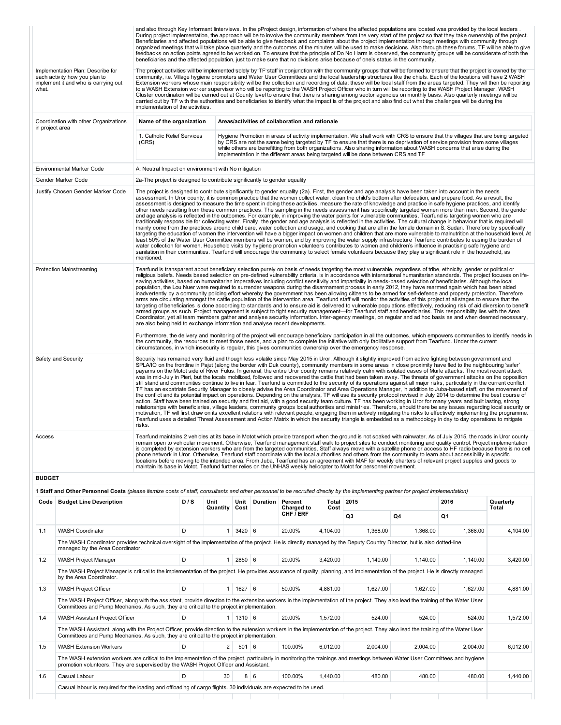|                                                                                                                                                                                                                                                                                                                                                                                                                                                                                                                                                                                                                                                                                                                                                                                                                                                                                                                                                                                                                                                                                                                                                                                                                                                                                                                                                                                                                                                                                                                                                                                                                                                                                                                                                                                                                                                                                                                                                                                                                                                     |                                                                              |                                                                           |  |              |          |                                                 |               | beneficiaries and the affected population, just to make sure that no divisions arise because of one's status in the community. |    | and also through Key Informant linterviews. In the pProject design, information of where the affected populations are located was provided by the local leaders.<br>During project implementation, the approach will be to involve the community members from the very start of the project so that they take ownership of the project.<br>Beneficiaries and affected populations will be able to give feedback and complaints about the project implementation through meetings with community through<br>organized meetings that will take place quarterly and the outcomes of the minutes will be used to make decisions. Also through these forums, TF will be able to give<br>feedbacks on action points agreed to be worked on. To ensure that the principle of Do No Harm is observed, the community groups will be considerate of both the                                                                                                                                                                                                                                                                                                                                                                                                                                                                                                                                                                                                                                                                                                                                                                                                                                                                                                                                                                                                                            |                    |  |  |  |
|-----------------------------------------------------------------------------------------------------------------------------------------------------------------------------------------------------------------------------------------------------------------------------------------------------------------------------------------------------------------------------------------------------------------------------------------------------------------------------------------------------------------------------------------------------------------------------------------------------------------------------------------------------------------------------------------------------------------------------------------------------------------------------------------------------------------------------------------------------------------------------------------------------------------------------------------------------------------------------------------------------------------------------------------------------------------------------------------------------------------------------------------------------------------------------------------------------------------------------------------------------------------------------------------------------------------------------------------------------------------------------------------------------------------------------------------------------------------------------------------------------------------------------------------------------------------------------------------------------------------------------------------------------------------------------------------------------------------------------------------------------------------------------------------------------------------------------------------------------------------------------------------------------------------------------------------------------------------------------------------------------------------------------------------------------|------------------------------------------------------------------------------|---------------------------------------------------------------------------|--|--------------|----------|-------------------------------------------------|---------------|--------------------------------------------------------------------------------------------------------------------------------|----|-------------------------------------------------------------------------------------------------------------------------------------------------------------------------------------------------------------------------------------------------------------------------------------------------------------------------------------------------------------------------------------------------------------------------------------------------------------------------------------------------------------------------------------------------------------------------------------------------------------------------------------------------------------------------------------------------------------------------------------------------------------------------------------------------------------------------------------------------------------------------------------------------------------------------------------------------------------------------------------------------------------------------------------------------------------------------------------------------------------------------------------------------------------------------------------------------------------------------------------------------------------------------------------------------------------------------------------------------------------------------------------------------------------------------------------------------------------------------------------------------------------------------------------------------------------------------------------------------------------------------------------------------------------------------------------------------------------------------------------------------------------------------------------------------------------------------------------------------------------------------------|--------------------|--|--|--|
| Implementation Plan: Describe for<br>each activity how you plan to<br>implement it and who is carrying out<br>what.                                                                                                                                                                                                                                                                                                                                                                                                                                                                                                                                                                                                                                                                                                                                                                                                                                                                                                                                                                                                                                                                                                                                                                                                                                                                                                                                                                                                                                                                                                                                                                                                                                                                                                                                                                                                                                                                                                                                 | implementation of the activities.                                            |                                                                           |  |              |          |                                                 |               |                                                                                                                                |    | The project activities will be implemented solely by TF staff in conjunction with the community groups that will be formed to ensure that the project is owned by the<br>community, i.e. Village hygiene promoters and Water User Committees and the local leadership structures like the chiefs. Each of the locations will have 2 WASH<br>Extension workers whose main responsibility will be the collection and recording of data; these will be local staff from the areas targeted. They will then be reporting<br>to a WASH Extension worker supervisor who will be reporting to the WASH Project Officer who in turn will be reporting to the WASH Project Manager. WASH<br>Cluster coordination will be carried out at County level to ensure that there is sharing among sector agencies on monthly basis. Also quarterly meetings will be<br>carried out by TF with the authorities and beneficiaries to identify what the impact is of the project and also find out what the challenges will be during the                                                                                                                                                                                                                                                                                                                                                                                                                                                                                                                                                                                                                                                                                                                                                                                                                                                        |                    |  |  |  |
| Coordination with other Organizations<br>in project area                                                                                                                                                                                                                                                                                                                                                                                                                                                                                                                                                                                                                                                                                                                                                                                                                                                                                                                                                                                                                                                                                                                                                                                                                                                                                                                                                                                                                                                                                                                                                                                                                                                                                                                                                                                                                                                                                                                                                                                            | Name of the organization                                                     |                                                                           |  |              |          | Areas/activities of collaboration and rationale |               |                                                                                                                                |    |                                                                                                                                                                                                                                                                                                                                                                                                                                                                                                                                                                                                                                                                                                                                                                                                                                                                                                                                                                                                                                                                                                                                                                                                                                                                                                                                                                                                                                                                                                                                                                                                                                                                                                                                                                                                                                                                               |                    |  |  |  |
|                                                                                                                                                                                                                                                                                                                                                                                                                                                                                                                                                                                                                                                                                                                                                                                                                                                                                                                                                                                                                                                                                                                                                                                                                                                                                                                                                                                                                                                                                                                                                                                                                                                                                                                                                                                                                                                                                                                                                                                                                                                     | 1. Catholic Relief Services<br>(CRS)                                         |                                                                           |  |              |          |                                                 |               | implementation in the different areas being targeted will be done between CRS and TF                                           |    | Hygiene Promotion in areas of activity implementation. We shall work with CRS to ensure that the villages that are being targeted<br>by CRS are not the same being targeted by TF to ensure that there is no deprivation of service provision from some villages<br>while others are benefitting from both organizations. Also sharing information about WASH concerns that arise during the                                                                                                                                                                                                                                                                                                                                                                                                                                                                                                                                                                                                                                                                                                                                                                                                                                                                                                                                                                                                                                                                                                                                                                                                                                                                                                                                                                                                                                                                                  |                    |  |  |  |
| Environmental Marker Code                                                                                                                                                                                                                                                                                                                                                                                                                                                                                                                                                                                                                                                                                                                                                                                                                                                                                                                                                                                                                                                                                                                                                                                                                                                                                                                                                                                                                                                                                                                                                                                                                                                                                                                                                                                                                                                                                                                                                                                                                           |                                                                              | A: Neutral Impact on environment with No mitigation                       |  |              |          |                                                 |               |                                                                                                                                |    |                                                                                                                                                                                                                                                                                                                                                                                                                                                                                                                                                                                                                                                                                                                                                                                                                                                                                                                                                                                                                                                                                                                                                                                                                                                                                                                                                                                                                                                                                                                                                                                                                                                                                                                                                                                                                                                                               |                    |  |  |  |
| Gender Marker Code                                                                                                                                                                                                                                                                                                                                                                                                                                                                                                                                                                                                                                                                                                                                                                                                                                                                                                                                                                                                                                                                                                                                                                                                                                                                                                                                                                                                                                                                                                                                                                                                                                                                                                                                                                                                                                                                                                                                                                                                                                  |                                                                              | 2a-The project is designed to contribute significantly to gender equality |  |              |          |                                                 |               |                                                                                                                                |    |                                                                                                                                                                                                                                                                                                                                                                                                                                                                                                                                                                                                                                                                                                                                                                                                                                                                                                                                                                                                                                                                                                                                                                                                                                                                                                                                                                                                                                                                                                                                                                                                                                                                                                                                                                                                                                                                               |                    |  |  |  |
| Justify Chosen Gender Marker Code<br>The project is designed to contribute significantly to gender equality (2a). First, the gender and age analysis have been taken into account in the needs<br>assessment. In Uror county, it is common practice that the women collect water, clean the child's bottom after defecation, and prepare food. As a result, the<br>assessment is designed to measure the time spent in doing these activities, measure the rate of knowledge and practice in safe hygiene practices, and identify<br>other needs resulting from these common practices. The sampling in the needs assessment has specifically targeted women more than men. Second, the gender<br>and age analysis is reflected in the outcomes. For example, in improving the water points for vulnerable communities, Tearfund is targeting women who are<br>traditionally responsible for collecting water. Finally, the gender and age analysis is reflected in the activities. The cultural change in behaviour that is required will<br>mainly come from the practices around child care, water collection and usage, and cooking that are all in the female domain in S. Sudan. Therefore by specifically<br>targeting the education of women the intervention will have a bigger impact on women and children that are more vulnerable to malnutrition at the household level. At<br>least 50% of the Water User Committee members will be women, and by improving the water supply infrastructure Tearfund contributes to easing the burden of<br>water collection for women. Household visits by hygiene promotion volunteers contributes to women and children's influence in practising safe hygiene and<br>sanitation in their communities. Tearfund will encourage the community to select female volunteers because they play a significant role in the household, as<br>mentioned.                                                                                                                                                  |                                                                              |                                                                           |  |              |          |                                                 |               |                                                                                                                                |    |                                                                                                                                                                                                                                                                                                                                                                                                                                                                                                                                                                                                                                                                                                                                                                                                                                                                                                                                                                                                                                                                                                                                                                                                                                                                                                                                                                                                                                                                                                                                                                                                                                                                                                                                                                                                                                                                               |                    |  |  |  |
| <b>Protection Mainstreaming</b>                                                                                                                                                                                                                                                                                                                                                                                                                                                                                                                                                                                                                                                                                                                                                                                                                                                                                                                                                                                                                                                                                                                                                                                                                                                                                                                                                                                                                                                                                                                                                                                                                                                                                                                                                                                                                                                                                                                                                                                                                     | are also being held to exchange information and analyse recent developments. |                                                                           |  |              |          |                                                 |               |                                                                                                                                |    | Tearfund is transparent about beneficiary selection purely on basis of needs targeting the most vulnerable, regardless of tribe, ethnicity, gender or political or<br>religious beliefs. Needs based selection on pre-defined vulnerability criteria, is in accordance with international humanitarian standards. The project focuses on life-<br>saving activities, based on humanitarian imperatives including conflict sensitivity and impartiality in needs-based selection of beneficiaries. Although the local<br>population, the Lou Nuer were required to surrender weapons during the disarmament process in early 2012, they have rearmed again which has been aided<br>inadvertently by a community policing effort whereby the government has been allowing citizens to be armed for self-defence and property protection. Therefore<br>arms are circulating amongst the cattle population of the intervention area. Tearfund staff will monitor the activities of this project at all stages to ensure that the<br>targeting of beneficiaries is done according to standards and to ensure aid is delivered to vulnerable populations effectively, reducing risk of aid diversion to benefit<br>armed groups as such. Project management is subject to tight security management—for Tearfund staff and beneficiaries. This responsibility lies with the Area<br>Coordinator, yet all team members gather and analyse security information. Inter-agency meetings, on regular and ad hoc basis as and when deemed necessary,<br>Furthermore, the delivery and monitoring of the project will encourage beneficiary participation in all the outcomes, which empowers communities to identify needs in<br>the community, the resources to meet those needs, and a plan to complete the initiative with only facilitative support from Tearfund. Under the current |                    |  |  |  |
| circumstances, in which insecurity is regular, this gives communities ownership over the emergency response.<br>Safety and Security<br>Security has remained very fluid and though less volatile since May 2015 in Uror. Although it slightly improved from active fighting between government and<br>SPLA/IO on the frontline in Pajut (along the border with Duk county), community members in some areas in close proximity have fled to the neighbouring 'safer'<br>payams on the Motot side of River Fulus. In general, the entire Uror county remains relatively calm with isolated cases of Murle attacks. The most recent attack<br>was in mid-July in Pieri, but the locals mobilized, followed and recovered the cattle that had been taken away. The threats of government attacks on the opposition<br>still stand and communities continue to live in fear. Tearfund is committed to the security of its operations against all major risks, particularly in the current conflict.<br>TF has an expatriate Security Manager to closely advise the Area Coordinator and Area Operations Manager, in addition to Juba-based staff, on the movement of<br>the conflict and its potential impact on operations. Depending on the analysis, TF will use its security protocol revised in July 2014 to determine the best course of<br>action. Staff have been trained on security and first aid, with a good security team culture. TF has been working in Uror for many years and built lasting, strong<br>relationships with beneficiaries, village leaders, community groups local authorities and ministries. Therefore, should there be any issues regarding local security or<br>motivation, TF will first draw on its excellent relations with relevant people, engaging them in actively mitigating the risks to effectively implementing the programme.<br>Tearfund uses a detailed Threat Assessment and Action Matrix in which the security triangle is embedded as a methodology in day to day operations to mitigate<br>risks. |                                                                              |                                                                           |  |              |          |                                                 |               |                                                                                                                                |    |                                                                                                                                                                                                                                                                                                                                                                                                                                                                                                                                                                                                                                                                                                                                                                                                                                                                                                                                                                                                                                                                                                                                                                                                                                                                                                                                                                                                                                                                                                                                                                                                                                                                                                                                                                                                                                                                               |                    |  |  |  |
| Tearfund maintains 2 vehicles at its base in Motot which provide transport when the ground is not soaked with rainwater. As of July 2015, the roads in Uror county<br>Access<br>remain open to vehicular movement. Otherwise, Tearfund management staff walk to project sites to conduct monitoring and quality control. Project implementation<br>is completed by extension workers who are from the targeted communities. Staff always move with a satellite phone or access to HF radio because there is no cell<br>phone network in Uror. Otherwise, Tearfund staff coordinate with the local authorities and others from the community to learn about accessibility in specific<br>locations before moving to the intended area. From Juba, Tearfund has an agreement with MAF for weekly charters of relevant project supplies and goods to<br>maintain its base in Motot. Teafund further relies on the UNHAS weekly helicopter to Motot for personnel movement.                                                                                                                                                                                                                                                                                                                                                                                                                                                                                                                                                                                                                                                                                                                                                                                                                                                                                                                                                                                                                                                                             |                                                                              |                                                                           |  |              |          |                                                 |               |                                                                                                                                |    |                                                                                                                                                                                                                                                                                                                                                                                                                                                                                                                                                                                                                                                                                                                                                                                                                                                                                                                                                                                                                                                                                                                                                                                                                                                                                                                                                                                                                                                                                                                                                                                                                                                                                                                                                                                                                                                                               |                    |  |  |  |
| <b>BUDGET</b>                                                                                                                                                                                                                                                                                                                                                                                                                                                                                                                                                                                                                                                                                                                                                                                                                                                                                                                                                                                                                                                                                                                                                                                                                                                                                                                                                                                                                                                                                                                                                                                                                                                                                                                                                                                                                                                                                                                                                                                                                                       |                                                                              |                                                                           |  |              |          |                                                 |               |                                                                                                                                |    |                                                                                                                                                                                                                                                                                                                                                                                                                                                                                                                                                                                                                                                                                                                                                                                                                                                                                                                                                                                                                                                                                                                                                                                                                                                                                                                                                                                                                                                                                                                                                                                                                                                                                                                                                                                                                                                                               |                    |  |  |  |
| 1 Staff and Other Personnel Costs (please itemize costs of staff, consultants and other personnel to be recruited directly by the implementing partner for project implementation)                                                                                                                                                                                                                                                                                                                                                                                                                                                                                                                                                                                                                                                                                                                                                                                                                                                                                                                                                                                                                                                                                                                                                                                                                                                                                                                                                                                                                                                                                                                                                                                                                                                                                                                                                                                                                                                                  |                                                                              |                                                                           |  |              |          |                                                 |               |                                                                                                                                |    |                                                                                                                                                                                                                                                                                                                                                                                                                                                                                                                                                                                                                                                                                                                                                                                                                                                                                                                                                                                                                                                                                                                                                                                                                                                                                                                                                                                                                                                                                                                                                                                                                                                                                                                                                                                                                                                                               |                    |  |  |  |
| Code   Budget Line Description                                                                                                                                                                                                                                                                                                                                                                                                                                                                                                                                                                                                                                                                                                                                                                                                                                                                                                                                                                                                                                                                                                                                                                                                                                                                                                                                                                                                                                                                                                                                                                                                                                                                                                                                                                                                                                                                                                                                                                                                                      | D/S<br>Unit<br><b>Quantity</b>                                               |                                                                           |  | Unit<br>Cost | Duration | Percent<br>Charged to                           | Total<br>Cost | 2015                                                                                                                           |    | 2016                                                                                                                                                                                                                                                                                                                                                                                                                                                                                                                                                                                                                                                                                                                                                                                                                                                                                                                                                                                                                                                                                                                                                                                                                                                                                                                                                                                                                                                                                                                                                                                                                                                                                                                                                                                                                                                                          | Quarterly<br>Total |  |  |  |
|                                                                                                                                                                                                                                                                                                                                                                                                                                                                                                                                                                                                                                                                                                                                                                                                                                                                                                                                                                                                                                                                                                                                                                                                                                                                                                                                                                                                                                                                                                                                                                                                                                                                                                                                                                                                                                                                                                                                                                                                                                                     |                                                                              |                                                                           |  |              |          | CHF / ERF                                       |               | Q3                                                                                                                             | Q4 | Q1                                                                                                                                                                                                                                                                                                                                                                                                                                                                                                                                                                                                                                                                                                                                                                                                                                                                                                                                                                                                                                                                                                                                                                                                                                                                                                                                                                                                                                                                                                                                                                                                                                                                                                                                                                                                                                                                            |                    |  |  |  |

|     |                                                                                                                                                                                                                                                                                |   |                |            |   | CHF / ERF |          | Q <sub>3</sub> | <b>Q4</b> | Q <sub>1</sub> |          |
|-----|--------------------------------------------------------------------------------------------------------------------------------------------------------------------------------------------------------------------------------------------------------------------------------|---|----------------|------------|---|-----------|----------|----------------|-----------|----------------|----------|
| 1.1 | <b>WASH Coordinator</b>                                                                                                                                                                                                                                                        | D | 1              | $3420 \ 6$ |   | 20.00%    | 4,104.00 | 1,368.00       | 1,368.00  | 1,368.00       | 4,104.00 |
|     | The WASH Coordinator provides technical oversight of the implementation of the project. He is directly managed by the Deputy Country Director, but is also dotted-line<br>managed by the Area Coordinator.                                                                     |   |                |            |   |           |          |                |           |                |          |
| 1.2 | WASH Project Manager                                                                                                                                                                                                                                                           | D |                | 2850 6     |   | 20.00%    | 3,420.00 | 1,140.00       | 1,140.00  | 1,140.00       | 3,420.00 |
|     | The WASH Project Manager is critical to the implementation of the project. He provides assurance of quality, planning, and implementation of the project. He is directly managed<br>by the Area Coordinator.                                                                   |   |                |            |   |           |          |                |           |                |          |
| 1.3 | WASH Project Officer                                                                                                                                                                                                                                                           | D | 1              | $1627$ 6   |   | 50.00%    | 4.881.00 | 1.627.00       | 1,627.00  | 1,627.00       | 4,881.00 |
|     | The WASH Project Officer, along with the assistant, provide direction to the extension workers in the implementation of the project. They also lead the training of the Water User<br>Committees and Pump Mechanics. As such, they are critical to the project implementation. |   |                |            |   |           |          |                |           |                |          |
| 1.4 | WASH Assistant Project Officer                                                                                                                                                                                                                                                 | D |                | $1310 \ 6$ |   | 20.00%    | 1,572.00 | 524.00         | 524.00    | 524.00         | 1,572.00 |
|     | The WASH Assistant, along with the Project Officer, provide direction to the extension workers in the implementation of the project. They also lead the training of the Water User<br>Committees and Pump Mechanics. As such, they are critical to the project implementation. |   |                |            |   |           |          |                |           |                |          |
| 1.5 | <b>WASH Extension Workers</b>                                                                                                                                                                                                                                                  | D | $\overline{2}$ | 501        | 6 | 100.00%   | 6,012.00 | 2,004.00       | 2,004.00  | 2,004.00       | 6,012.00 |
|     | The WASH extension workers are critical to the implementation of the project, particularly in monitoring the trainings and meetings between Water User Committees and hygiene<br>promotion volunteers. They are supervised by the WASH Project Officer and Assistant.          |   |                |            |   |           |          |                |           |                |          |
| 1.6 | Casual Labour                                                                                                                                                                                                                                                                  | D | 30             | 8          | 6 | 100.00%   | 1,440.00 | 480.00         | 480.00    | 480.00         | 1.440.00 |
|     | Casual labour is required for the loading and offloading of cargo flights. 30 individuals are expected to be used.                                                                                                                                                             |   |                |            |   |           |          |                |           |                |          |
|     |                                                                                                                                                                                                                                                                                |   |                |            |   |           |          |                |           |                |          |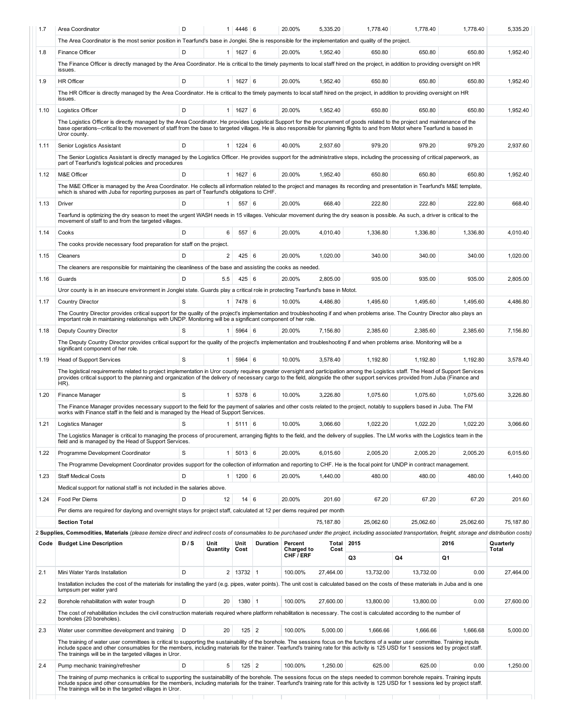| 1.7  | Area Coordinator                                                                                                                                                                                                                                                                                                                                                                | D   |                  | 1   4446   6         |                 | 20.00%                             | 5,335.20      | 1,778.40   | 1,778.40  | 1,778.40   | 5,335.20           |
|------|---------------------------------------------------------------------------------------------------------------------------------------------------------------------------------------------------------------------------------------------------------------------------------------------------------------------------------------------------------------------------------|-----|------------------|----------------------|-----------------|------------------------------------|---------------|------------|-----------|------------|--------------------|
|      | The Area Coordinator is the most senior position in Tearfund's base in Jonglei. She is responsible for the implementation and quality of the project.                                                                                                                                                                                                                           |     |                  |                      |                 |                                    |               |            |           |            |                    |
| 1.8  | Finance Officer                                                                                                                                                                                                                                                                                                                                                                 | D   | 1                | $1627$ 6             |                 | 20.00%                             | 1.952.40      | 650.80     | 650.80    | 650.80     | 1,952.40           |
|      | The Finance Officer is directly managed by the Area Coordinator. He is critical to the timely payments to local staff hired on the project, in addition to providing oversight on HR<br>issues.                                                                                                                                                                                 |     |                  |                      |                 |                                    |               |            |           |            |                    |
| 1.9  | <b>HR Officer</b>                                                                                                                                                                                                                                                                                                                                                               | D   |                  | 1   1627   6         |                 | 20.00%                             | 1,952.40      | 650.80     | 650.80    | 650.80     | 1,952.40           |
|      | The HR Officer is directly managed by the Area Coordinator. He is critical to the timely payments to local staff hired on the project, in addition to providing oversight on HR<br>issues.                                                                                                                                                                                      |     |                  |                      |                 |                                    |               |            |           |            |                    |
| 1.10 | Logistics Officer                                                                                                                                                                                                                                                                                                                                                               | D   | 1                | 1627                 | 6               | 20.00%                             | 1,952.40      | 650.80     | 650.80    | 650.80     | 1,952.40           |
|      | The Logistics Officer is directly managed by the Area Coordinator. He provides Logistical Support for the procurement of goods related to the project and maintenance of the<br>base operations--critical to the movement of staff from the base to targeted villages. He is also responsible for planning flights to and from Motot where Tearfund is based in<br>Uror county. |     |                  |                      |                 |                                    |               |            |           |            |                    |
| 1.11 | Senior Logistics Assistant                                                                                                                                                                                                                                                                                                                                                      | D   |                  | $1 \mid 1224 \mid 6$ |                 | 40.00%                             | 2.937.60      | 979.20     | 979.20    | 979.20     | 2,937.60           |
|      | The Senior Logistics Assistant is directly managed by the Logistics Officer. He provides support for the administrative steps, including the processing of critical paperwork, as<br>part of Tearfund's logistical policies and procedures                                                                                                                                      |     |                  |                      |                 |                                    |               |            |           |            |                    |
| 1.12 | M&E Officer                                                                                                                                                                                                                                                                                                                                                                     | D   |                  | 1   1627   6         |                 | 20.00%                             | 1,952.40      | 650.80     | 650.80    | 650.80     | 1,952.40           |
|      | The M&E Officer is managed by the Area Coordinator. He collects all information related to the project and manages its recording and presentation in Tearfund's M&E template,<br>which is shared with Juba for reporting purposes as part of Tearfund's obligations to CHF.                                                                                                     |     |                  |                      |                 |                                    |               |            |           |            |                    |
| 1.13 | Driver                                                                                                                                                                                                                                                                                                                                                                          | D   | $\mathbf{1}$     | 557 6                |                 | 20.00%                             | 668.40        | 222.80     | 222.80    | 222.80     | 668.40             |
|      | Tearfund is optimizing the dry season to meet the urgent WASH needs in 15 villages. Vehicular movement during the dry season is possible. As such, a driver is critical to the<br>movement of staff to and from the targeted villages.                                                                                                                                          |     |                  |                      |                 |                                    |               |            |           |            |                    |
| 1.14 | Cooks                                                                                                                                                                                                                                                                                                                                                                           | D   | 6                | 557                  | 6               | 20.00%                             | 4.010.40      | 1,336.80   | 1,336.80  | 1.336.80   | 4.010.40           |
|      | The cooks provide necessary food preparation for staff on the project.                                                                                                                                                                                                                                                                                                          |     |                  |                      |                 |                                    |               |            |           |            |                    |
| 1.15 | Cleaners                                                                                                                                                                                                                                                                                                                                                                        | D   | $\overline{2}$   | 425 6                |                 | 20.00%                             | 1,020.00      | 340.00     | 340.00    | 340.00     | 1,020.00           |
|      | The cleaners are responsible for maintaining the cleanliness of the base and assisting the cooks as needed.                                                                                                                                                                                                                                                                     |     |                  |                      |                 |                                    |               |            |           |            |                    |
| 1.16 | Guards                                                                                                                                                                                                                                                                                                                                                                          | D   | 5.5              | $425 \mid 6$         |                 | 20.00%                             | 2,805.00      | 935.00     | 935.00    | 935.00     | 2,805.00           |
|      | Uror county is in an insecure environment in Jonglei state. Guards play a critical role in protecting Tearfund's base in Motot.                                                                                                                                                                                                                                                 |     |                  |                      |                 |                                    |               |            |           |            |                    |
| 1.17 | <b>Country Director</b>                                                                                                                                                                                                                                                                                                                                                         | S   |                  | $1 \mid 7478 \mid 6$ |                 | 10.00%                             | 4,486.80      | 1,495.60   | 1,495.60  | 1,495.60   | 4,486.80           |
|      | The Country Director provides critical support for the quality of the project's implementation and troubleshooting if and when problems arise. The Country Director also plays an<br>important role in maintaining relationships with UNDP. Monitoring will be a significant component of her role.                                                                             |     |                  |                      |                 |                                    |               |            |           |            |                    |
| 1.18 | Deputy Country Director                                                                                                                                                                                                                                                                                                                                                         | S   | 1 <sup>1</sup>   | 5964 6               |                 | 20.00%                             | 7,156.80      | 2,385.60   | 2,385.60  | 2,385.60   | 7,156.80           |
|      | The Deputy Country Director provides critical support for the quality of the project's implementation and troubleshooting if and when problems arise. Monitoring will be a                                                                                                                                                                                                      |     |                  |                      |                 |                                    |               |            |           |            |                    |
|      | significant component of her role.                                                                                                                                                                                                                                                                                                                                              | S   |                  |                      |                 |                                    |               |            |           |            |                    |
| 1.19 | <b>Head of Support Services</b><br>The logistical requirements related to project implementation in Uror county requires greater oversight and participation among the Logistics staff. The Head of Support Services                                                                                                                                                            |     | 1 <sup>1</sup>   | $5964 \ 6$           |                 | 10.00%                             | 3,578.40      | 1,192.80   | 1,192.80  | 1,192.80   | 3,578.40           |
|      | provides critical support to the planning and organization of the delivery of necessary cargo to the field, alongside the other support services provided from Juba (Finance and<br>HR).                                                                                                                                                                                        |     |                  |                      |                 |                                    |               |            |           |            |                    |
| 1.20 | Finance Manager                                                                                                                                                                                                                                                                                                                                                                 | S   | 1 <sup>1</sup>   | 5378 6               |                 | 10.00%                             | 3,226.80      | 1,075.60   | 1,075.60  | 1,075.60   | 3.226.80           |
|      | The Finance Manager provides necessary support to the field for the payment of salaries and other costs related to the project, notably to suppliers based in Juba. The FM<br>works with Finance staff in the field and is managed by the Head of Support Services.                                                                                                             |     |                  |                      |                 |                                    |               |            |           |            |                    |
| 1.21 | Logistics Manager                                                                                                                                                                                                                                                                                                                                                               | S   |                  | 1   5111   6         |                 | 10.00%                             | 3,066.60      | 1,022.20   | 1,022.20  | 1,022.20   | 3,066.60           |
|      | The Logistics Manager is critical to managing the process of procurement, arranging flights to the field, and the delivery of supplies. The LM works with the Logistics team in the<br>field and is managed by the Head of Support Services.                                                                                                                                    |     |                  |                      |                 |                                    |               |            |           |            |                    |
| 1.22 | Programme Development Coordinator                                                                                                                                                                                                                                                                                                                                               | S   | 1                | $5013$ 6             |                 | 20.00%                             | 6,015.60      | 2.005.20   | 2,005.20  | 2,005.20   | 6,015.60           |
|      | The Programme Development Coordinator provides support for the collection of information and reporting to CHF. He is the focal point for UNDP in contract management.                                                                                                                                                                                                           |     |                  |                      |                 |                                    |               |            |           |            |                    |
| 1.23 | <b>Staff Medical Costs</b>                                                                                                                                                                                                                                                                                                                                                      | D   |                  | 1   1200   6         |                 | 20.00%                             | 1,440.00      | 480.00     | 480.00    | 480.00     | 1,440.00           |
|      | Medical support for national staff is not included in the salaries above.                                                                                                                                                                                                                                                                                                       |     |                  |                      |                 |                                    |               |            |           |            |                    |
| 1.24 | Food Per Diems                                                                                                                                                                                                                                                                                                                                                                  | D   | 12               | $14 \mid 6$          |                 | 20.00%                             | 201.60        | 67.20      | 67.20     | 67.20      | 201.60             |
|      | Per diems are required for daylong and overnight stays for project staff, calculated at 12 per diems required per month                                                                                                                                                                                                                                                         |     |                  |                      |                 |                                    |               |            |           |            |                    |
|      | <b>Section Total</b>                                                                                                                                                                                                                                                                                                                                                            |     |                  |                      |                 |                                    | 75,187.80     | 25,062.60  | 25,062.60 | 25,062.60  | 75,187.80          |
|      |                                                                                                                                                                                                                                                                                                                                                                                 |     |                  |                      |                 |                                    |               |            |           |            |                    |
|      | 2 Supplies, Commodities, Materials (please itemize direct and indirect costs of consumables to be purchased under the project, including associated transportation, freight, storage and distribution costs)                                                                                                                                                                    |     |                  |                      |                 |                                    |               |            |           |            |                    |
|      | Code   Budget Line Description                                                                                                                                                                                                                                                                                                                                                  | D/S | Unit<br>Quantity | Unit<br>Cost         | <b>Duration</b> | Percent<br>Charged to<br>CHF / ERF | Total<br>Cost | 2015<br>Q3 | Q4        | 2016<br>Q1 | Quarterly<br>Total |
|      |                                                                                                                                                                                                                                                                                                                                                                                 |     |                  |                      |                 |                                    |               |            |           |            |                    |
| 2.1  | Mini Water Yards Installation                                                                                                                                                                                                                                                                                                                                                   | D   |                  | 2 13732 1            |                 | 100.00%                            | 27,464.00     | 13,732.00  | 13,732.00 | 0.00       | 27,464.00          |
|      | Installation includes the cost of the materials for installing the yard (e.g. pipes, water points). The unit cost is calculated based on the costs of these materials in Juba and is one<br>lumpsum per water yard                                                                                                                                                              |     |                  |                      |                 |                                    |               |            |           |            |                    |
| 2.2  | Borehole rehabilitation with water trough                                                                                                                                                                                                                                                                                                                                       | D   | 20               | 1380 1               |                 | 100.00%                            | 27,600.00     | 13,800.00  | 13,800.00 | 0.00       | 27,600.00          |
|      | The cost of rehabilitation includes the civil construction materials required where platform rehabilitation is necessary. The cost is calculated according to the number of<br>boreholes (20 boreholes).                                                                                                                                                                        |     |                  |                      |                 |                                    |               |            |           |            |                    |
| 2.3  | Water user committee development and training                                                                                                                                                                                                                                                                                                                                   | D   | 20               | $125$ 2              |                 | 100.00%                            | 5,000.00      | 1,666.66   | 1,666.66  | 1,666.68   | 5,000.00           |
|      | The training of water user committees is critical to supporting the sustainability of the borehole. The sessions focus on the functions of a water user committee. Training inputs<br>include space and other consumables for the members, including materials for the trainer. Tearfund's training rate for this activity is 125 USD for 1 sessions led by project staff.      |     |                  |                      |                 |                                    |               |            |           |            |                    |
|      | The trainings will be in the targeted villages in Uror.                                                                                                                                                                                                                                                                                                                         | D   | 5                |                      |                 | 100.00%                            | 1,250.00      | 625.00     | 625.00    | 0.00       |                    |
| 2.4  | Pump mechanic training/refresher<br>The training of pump mechanics is critical to supporting the sustainability of the borehole. The sessions focus on the steps needed to common borehole repairs. Training inputs                                                                                                                                                             |     |                  | $125$ 2              |                 |                                    |               |            |           |            | 1,250.00           |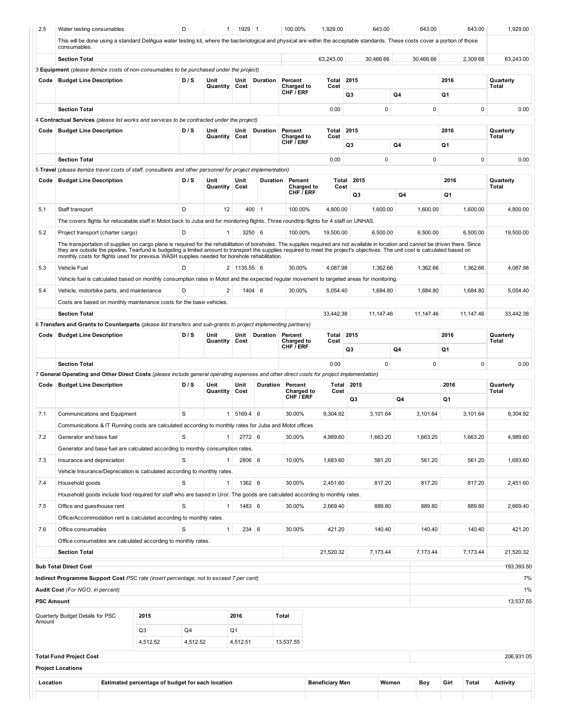| 2.5                                                          | Water testing consumables                 |                                                                                                                                                                                                                                                                                                                                                                                                                                                                          | D        | 1 <sub>1</sub>   | 1929 1         |                 | 100.00%                            | 1,929.00               |    | 643.00    | 643.00      | 643.00        | 1,929.00                                                                                                                                            |
|--------------------------------------------------------------|-------------------------------------------|--------------------------------------------------------------------------------------------------------------------------------------------------------------------------------------------------------------------------------------------------------------------------------------------------------------------------------------------------------------------------------------------------------------------------------------------------------------------------|----------|------------------|----------------|-----------------|------------------------------------|------------------------|----|-----------|-------------|---------------|-----------------------------------------------------------------------------------------------------------------------------------------------------|
|                                                              | consumables.                              | This will be done using a standard DelAgua water testing kit, where the bacteriological and physical are within the acceptable standards. These costs cover a portion of those                                                                                                                                                                                                                                                                                           |          |                  |                |                 |                                    |                        |    |           |             |               |                                                                                                                                                     |
|                                                              | <b>Section Total</b>                      |                                                                                                                                                                                                                                                                                                                                                                                                                                                                          |          |                  |                |                 |                                    | 63.243.00              |    | 30.466.66 | 30,466.66   | 2.309.68      | 63.243.00                                                                                                                                           |
|                                                              |                                           | 3 Equipment (please itemize costs of non-consumables to be purchased under the project)                                                                                                                                                                                                                                                                                                                                                                                  |          |                  |                |                 |                                    |                        |    |           |             |               |                                                                                                                                                     |
| Code                                                         | <b>Budget Line Description</b>            |                                                                                                                                                                                                                                                                                                                                                                                                                                                                          | D/S      | Unit             | Unit           | Duration        | Percent                            | Total                  |    | 2015      |             | 2016          | Quarterly                                                                                                                                           |
|                                                              |                                           |                                                                                                                                                                                                                                                                                                                                                                                                                                                                          |          | Quantity         | Cost           |                 | Charged to<br>CHF <i>i</i> ERF     | Cost                   | Q3 |           | Q4          | Q1            | Total                                                                                                                                               |
|                                                              | <b>Section Total</b>                      |                                                                                                                                                                                                                                                                                                                                                                                                                                                                          |          |                  |                |                 |                                    | 0.00                   |    | $\pmb{0}$ | $\mathbf 0$ | $\mathbf 0$   | 0.00                                                                                                                                                |
|                                                              |                                           | 4 Contractual Services (please list works and services to be contracted under the project)                                                                                                                                                                                                                                                                                                                                                                               |          |                  |                |                 |                                    |                        |    |           |             |               |                                                                                                                                                     |
| Code                                                         | <b>Budget Line Description</b>            |                                                                                                                                                                                                                                                                                                                                                                                                                                                                          | D/S      | Unit             | Unit           | Duration        | Percent                            | Total                  |    | 2015      |             | 2016          | Quarterly                                                                                                                                           |
|                                                              |                                           |                                                                                                                                                                                                                                                                                                                                                                                                                                                                          |          | Quantity         | Cost           |                 | Charged to<br>CHF / ERF            | Cost                   | Q3 |           | Q4          | Q1            | Total                                                                                                                                               |
|                                                              |                                           |                                                                                                                                                                                                                                                                                                                                                                                                                                                                          |          |                  |                |                 |                                    |                        |    | 0         | 0           | 0             |                                                                                                                                                     |
|                                                              | <b>Section Total</b>                      |                                                                                                                                                                                                                                                                                                                                                                                                                                                                          |          |                  |                |                 |                                    | 0.00                   |    |           |             |               | 0.00                                                                                                                                                |
|                                                              |                                           | 5 Travel (please itemize travel costs of staff, consultants and other personnel for project implementation)                                                                                                                                                                                                                                                                                                                                                              |          |                  |                |                 |                                    |                        |    | 2015      |             | 2016          |                                                                                                                                                     |
| Code                                                         | <b>Budget Line Description</b>            |                                                                                                                                                                                                                                                                                                                                                                                                                                                                          | D/S      | Unit<br>Quantity | Unit<br>Cost   | Duration        | Percent<br>Charged to<br>CHF / ERF | Total<br>Cost          |    | Q3        | Q4          | Q1            | Quarterly<br>Total                                                                                                                                  |
| 5.1                                                          | Staff transport                           |                                                                                                                                                                                                                                                                                                                                                                                                                                                                          | D        | 12               |                | $400$ 1         | 100.00%                            | 4.800.00               |    | 1,600.00  | 1,600.00    | 1,600.00      | 4,800.00                                                                                                                                            |
|                                                              |                                           | The covers flights for relocatable staff in Motot back to Juba and for monitoring flights. Three roundtrip flights for 4 staff on UNHAS.                                                                                                                                                                                                                                                                                                                                 |          |                  |                |                 |                                    |                        |    |           |             |               |                                                                                                                                                     |
|                                                              |                                           |                                                                                                                                                                                                                                                                                                                                                                                                                                                                          |          | 1                |                |                 |                                    |                        |    |           |             |               |                                                                                                                                                     |
| 5.2                                                          | Project transport (charter cargo)         |                                                                                                                                                                                                                                                                                                                                                                                                                                                                          | D        |                  |                | 3250 6          | 100.00%                            | 19,500.00              |    | 6,500.00  | 6,500.00    | 6,500.00      | 19,500.00                                                                                                                                           |
|                                                              |                                           | The transportation of supplies on cargo plane is required for the rehabilitation of boreholes. The supplies required are not available in location and cannot be driven there. Since<br>they are outside the pipeline, Tearfund is budgeting a limited amount to transport the supplies required to meet the project's objectives. The unit cost is calculated based on<br>monthly costs for flights used for previous WASH supplies needed for borehole rehabilitation. |          |                  |                |                 |                                    |                        |    |           |             |               |                                                                                                                                                     |
| 5.3                                                          | <b>Vehicle Fuel</b>                       |                                                                                                                                                                                                                                                                                                                                                                                                                                                                          | D        |                  | $2$ 1135.55 6  |                 | 30.00%                             | 4,087.98               |    | 1,362.66  | 1,362.66    | 1,362.66      | 4,087.98                                                                                                                                            |
|                                                              |                                           | Vehicle fuel is calculated based on monthly consumption rates in Motot and the expected regular movement to targeted areas for monitoring.                                                                                                                                                                                                                                                                                                                               |          |                  |                |                 |                                    |                        |    |           |             |               |                                                                                                                                                     |
| 5.4                                                          | Vehicle, motorbike parts, and maintenance |                                                                                                                                                                                                                                                                                                                                                                                                                                                                          | D        | $\overline{2}$   |                | $1404 \mid 6$   | 30.00%                             | 5,054.40               |    | 1,684.80  | 1,684.80    | 1,684.80      | 5,054.40                                                                                                                                            |
|                                                              |                                           |                                                                                                                                                                                                                                                                                                                                                                                                                                                                          |          |                  |                |                 |                                    |                        |    |           |             |               |                                                                                                                                                     |
|                                                              |                                           | Costs are based on monthly maintenance costs for the base vehicles.                                                                                                                                                                                                                                                                                                                                                                                                      |          |                  |                |                 |                                    |                        |    |           |             |               |                                                                                                                                                     |
|                                                              | <b>Section Total</b>                      |                                                                                                                                                                                                                                                                                                                                                                                                                                                                          |          |                  |                |                 |                                    | 33,442.38              |    | 11,147.46 | 11,147.46   | 11,147.46     | 33,442.38                                                                                                                                           |
|                                                              |                                           | 6 Transfers and Grants to Counterparts (please list transfers and sub-grants to project implementing partners)                                                                                                                                                                                                                                                                                                                                                           |          |                  |                |                 |                                    |                        |    |           |             |               |                                                                                                                                                     |
| Code                                                         | <b>Budget Line Description</b>            |                                                                                                                                                                                                                                                                                                                                                                                                                                                                          | D/S      | Unit<br>Quantity | Unit<br>Cost   | Duration        | Percent<br><b>Charged to</b>       | Total<br>Cost          |    | 2015      |             | 2016          | Quarterly<br>Total                                                                                                                                  |
|                                                              |                                           |                                                                                                                                                                                                                                                                                                                                                                                                                                                                          |          |                  |                |                 | CHF <i>i</i> ERF                   |                        | Q3 |           | Q4          | Q1            |                                                                                                                                                     |
|                                                              | <b>Section Total</b>                      |                                                                                                                                                                                                                                                                                                                                                                                                                                                                          |          |                  |                |                 |                                    | 0.00                   |    | $\pmb{0}$ | $\pmb{0}$   | $\mathbf 0$   | 0.00                                                                                                                                                |
|                                                              |                                           | 7 General Operating and Other Direct Costs (please include general operating expenses and other direct costs for project implementation)                                                                                                                                                                                                                                                                                                                                 |          |                  |                |                 |                                    |                        |    |           |             |               |                                                                                                                                                     |
| Code                                                         | <b>Budget Line Description</b>            |                                                                                                                                                                                                                                                                                                                                                                                                                                                                          | D/S      | Unit             | Unit           | <b>Duration</b> | Percent                            | <b>Total 2015</b>      |    |           |             | 2016          | Quarterly                                                                                                                                           |
|                                                              |                                           |                                                                                                                                                                                                                                                                                                                                                                                                                                                                          |          |                  |                |                 |                                    |                        |    |           |             |               | Total                                                                                                                                               |
|                                                              |                                           |                                                                                                                                                                                                                                                                                                                                                                                                                                                                          |          | Quantity         | Cost           |                 | Charged to                         | Cost                   |    |           |             |               |                                                                                                                                                     |
|                                                              |                                           |                                                                                                                                                                                                                                                                                                                                                                                                                                                                          |          |                  |                |                 | CHF / ERF                          |                        |    | Q3        | Q4          | Q1            |                                                                                                                                                     |
|                                                              | Communications and Equipment              |                                                                                                                                                                                                                                                                                                                                                                                                                                                                          | S        | 1                | $5169.4$ 6     |                 | 30.00%                             | 9.304.92               |    | 3,101.64  | 3,101.64    | 3,101.64      |                                                                                                                                                     |
|                                                              |                                           |                                                                                                                                                                                                                                                                                                                                                                                                                                                                          |          |                  |                |                 |                                    |                        |    |           |             |               |                                                                                                                                                     |
|                                                              |                                           | Communications & IT Running costs are calculated according to monthly rates for Juba and Motot offices                                                                                                                                                                                                                                                                                                                                                                   |          |                  |                |                 |                                    |                        |    |           |             |               |                                                                                                                                                     |
|                                                              | Generator and base fuel                   |                                                                                                                                                                                                                                                                                                                                                                                                                                                                          | S        | 1                | $2772$ 6       |                 | 30.00%                             | 4,989.60               |    | 1,663.20  | 1,663.20    | 1,663.20      |                                                                                                                                                     |
|                                                              |                                           | Generator and base fuel are calculated according to monthly consumption rates.                                                                                                                                                                                                                                                                                                                                                                                           |          |                  |                |                 |                                    |                        |    |           |             |               |                                                                                                                                                     |
|                                                              | Insurance and depreciation                |                                                                                                                                                                                                                                                                                                                                                                                                                                                                          | S        |                  | 2806 6         |                 | 10.00%                             | 1,683.60               |    | 561.20    | 561.20      | 561.20        |                                                                                                                                                     |
|                                                              |                                           | Vehicle Insurance/Depreciation is calculated according to monthly rates.                                                                                                                                                                                                                                                                                                                                                                                                 |          |                  |                |                 |                                    |                        |    |           |             |               |                                                                                                                                                     |
|                                                              | Household goods                           |                                                                                                                                                                                                                                                                                                                                                                                                                                                                          | S        | $\mathbf{1}$     | $1362 \mid 6$  |                 | 30.00%                             | 2,451.60               |    | 817.20    | 817.20      | 817.20        |                                                                                                                                                     |
|                                                              |                                           | Household goods include food required for staff who are based in Uror. The goods are calculated according to monthly rates.                                                                                                                                                                                                                                                                                                                                              |          |                  |                |                 |                                    |                        |    |           |             |               |                                                                                                                                                     |
|                                                              | Office and guesthouse rent                |                                                                                                                                                                                                                                                                                                                                                                                                                                                                          | S        | $\mathbf{1}$     | 1483 6         |                 | 30.00%                             | 2,669.40               |    | 889.80    | 889.80      | 889.80        |                                                                                                                                                     |
|                                                              |                                           | Office/Accommodation rent is calculated according to monthly rates.                                                                                                                                                                                                                                                                                                                                                                                                      |          |                  |                |                 |                                    |                        |    |           |             |               |                                                                                                                                                     |
|                                                              | Office consumables                        |                                                                                                                                                                                                                                                                                                                                                                                                                                                                          | S        | $\mathbf{1}$     |                | 234 6           | 30.00%                             | 421.20                 |    | 140.40    | 140.40      | 140.40        |                                                                                                                                                     |
|                                                              |                                           | Office consumables are calculated according to monthly rates.                                                                                                                                                                                                                                                                                                                                                                                                            |          |                  |                |                 |                                    |                        |    |           |             |               |                                                                                                                                                     |
|                                                              |                                           |                                                                                                                                                                                                                                                                                                                                                                                                                                                                          |          |                  |                |                 |                                    |                        |    |           |             |               |                                                                                                                                                     |
|                                                              | <b>Section Total</b>                      |                                                                                                                                                                                                                                                                                                                                                                                                                                                                          |          |                  |                |                 |                                    | 21,520.32              |    | 7,173.44  | 7,173.44    | 7,173.44      |                                                                                                                                                     |
|                                                              | <b>Sub Total Direct Cost</b>              |                                                                                                                                                                                                                                                                                                                                                                                                                                                                          |          |                  |                |                 |                                    |                        |    |           |             |               |                                                                                                                                                     |
|                                                              |                                           | Indirect Programme Support Cost PSC rate (insert percentage, not to exceed 7 per cent)                                                                                                                                                                                                                                                                                                                                                                                   |          |                  |                |                 |                                    |                        |    |           |             |               |                                                                                                                                                     |
|                                                              | Audit Cost (For NGO, in percent)          |                                                                                                                                                                                                                                                                                                                                                                                                                                                                          |          |                  |                |                 |                                    |                        |    |           |             |               |                                                                                                                                                     |
|                                                              | <b>PSC Amount</b>                         |                                                                                                                                                                                                                                                                                                                                                                                                                                                                          |          |                  |                |                 |                                    |                        |    |           |             |               |                                                                                                                                                     |
|                                                              | Quarterly Budget Details for PSC          | 2015                                                                                                                                                                                                                                                                                                                                                                                                                                                                     |          |                  | 2016           |                 | Total                              |                        |    |           |             |               |                                                                                                                                                     |
|                                                              |                                           | Q3                                                                                                                                                                                                                                                                                                                                                                                                                                                                       | Q4       |                  | Q <sub>1</sub> |                 |                                    |                        |    |           |             |               |                                                                                                                                                     |
|                                                              |                                           | 4,512.52                                                                                                                                                                                                                                                                                                                                                                                                                                                                 | 4,512.52 |                  | 4,512.51       |                 | 13,537.55                          |                        |    |           |             |               |                                                                                                                                                     |
|                                                              | <b>Total Fund Project Cost</b>            |                                                                                                                                                                                                                                                                                                                                                                                                                                                                          |          |                  |                |                 |                                    |                        |    |           |             |               |                                                                                                                                                     |
|                                                              | <b>Project Locations</b>                  |                                                                                                                                                                                                                                                                                                                                                                                                                                                                          |          |                  |                |                 |                                    |                        |    |           |             |               |                                                                                                                                                     |
| 7.1<br>7.2<br>7.3<br>7.4<br>7.5<br>7.6<br>Amount<br>Location |                                           | Estimated percentage of budget for each location                                                                                                                                                                                                                                                                                                                                                                                                                         |          |                  |                |                 |                                    | <b>Beneficiary Men</b> |    | Women     | Boy         | Girl<br>Total | 9,304.92<br>4,989.60<br>1,683.60<br>2,451.60<br>2,669.40<br>421.20<br>21,520.32<br>193,393.50<br>7%<br>$1\%$<br>13,537.55<br>206,931.05<br>Activity |